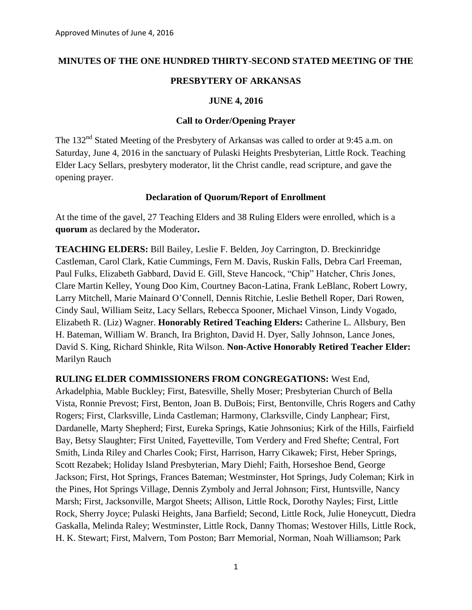# **MINUTES OF THE ONE HUNDRED THIRTY-SECOND STATED MEETING OF THE**

#### **PRESBYTERY OF ARKANSAS**

#### **JUNE 4, 2016**

#### **Call to Order/Opening Prayer**

The 132<sup>nd</sup> Stated Meeting of the Presbytery of Arkansas was called to order at 9:45 a.m. on Saturday, June 4, 2016 in the sanctuary of Pulaski Heights Presbyterian, Little Rock. Teaching Elder Lacy Sellars, presbytery moderator, lit the Christ candle, read scripture, and gave the opening prayer.

#### **Declaration of Quorum/Report of Enrollment**

At the time of the gavel, 27 Teaching Elders and 38 Ruling Elders were enrolled, which is a **quorum** as declared by the Moderator**.**

**TEACHING ELDERS:** Bill Bailey, Leslie F. Belden, Joy Carrington, D. Breckinridge Castleman, Carol Clark, Katie Cummings, Fern M. Davis, Ruskin Falls, Debra Carl Freeman, Paul Fulks, Elizabeth Gabbard, David E. Gill, Steve Hancock, "Chip" Hatcher, Chris Jones, Clare Martin Kelley, Young Doo Kim, Courtney Bacon-Latina, Frank LeBlanc, Robert Lowry, Larry Mitchell, Marie Mainard O'Connell, Dennis Ritchie, Leslie Bethell Roper, Dari Rowen, Cindy Saul, William Seitz, Lacy Sellars, Rebecca Spooner, Michael Vinson, Lindy Vogado, Elizabeth R. (Liz) Wagner. **Honorably Retired Teaching Elders:** Catherine L. Allsbury, Ben H. Bateman, William W. Branch, Ira Brighton, David H. Dyer, Sally Johnson, Lance Jones, David S. King, Richard Shinkle, Rita Wilson. **Non-Active Honorably Retired Teacher Elder:**  Marilyn Rauch

**RULING ELDER COMMISSIONERS FROM CONGREGATIONS:** West End, Arkadelphia, Mable Buckley; First, Batesville, Shelly Moser; Presbyterian Church of Bella Vista, Ronnie Prevost; First, Benton, Joan B. DuBois; First, Bentonville, Chris Rogers and Cathy Rogers; First, Clarksville, Linda Castleman; Harmony, Clarksville, Cindy Lanphear; First, Dardanelle, Marty Shepherd; First, Eureka Springs, Katie Johnsonius; Kirk of the Hills, Fairfield Bay, Betsy Slaughter; First United, Fayetteville, Tom Verdery and Fred Shefte; Central, Fort Smith, Linda Riley and Charles Cook; First, Harrison, Harry Cikawek; First, Heber Springs, Scott Rezabek; Holiday Island Presbyterian, Mary Diehl; Faith, Horseshoe Bend, George Jackson; First, Hot Springs, Frances Bateman; Westminster, Hot Springs, Judy Coleman; Kirk in the Pines, Hot Springs Village, Dennis Zymboly and Jerral Johnson; First, Huntsville, Nancy Marsh; First, Jacksonville, Margot Sheets; Allison, Little Rock, Dorothy Nayles; First, Little Rock, Sherry Joyce; Pulaski Heights, Jana Barfield; Second, Little Rock, Julie Honeycutt, Diedra Gaskalla, Melinda Raley; Westminster, Little Rock, Danny Thomas; Westover Hills, Little Rock, H. K. Stewart; First, Malvern, Tom Poston; Barr Memorial, Norman, Noah Williamson; Park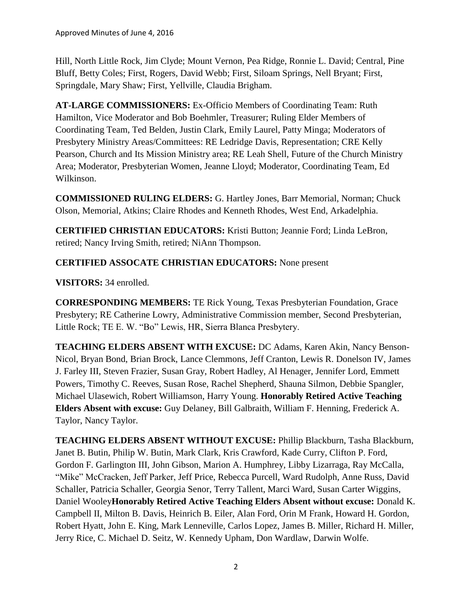Hill, North Little Rock, Jim Clyde; Mount Vernon, Pea Ridge, Ronnie L. David; Central, Pine Bluff, Betty Coles; First, Rogers, David Webb; First, Siloam Springs, Nell Bryant; First, Springdale, Mary Shaw; First, Yellville, Claudia Brigham.

**AT-LARGE COMMISSIONERS:** Ex-Officio Members of Coordinating Team: Ruth Hamilton, Vice Moderator and Bob Boehmler, Treasurer; Ruling Elder Members of Coordinating Team, Ted Belden, Justin Clark, Emily Laurel, Patty Minga; Moderators of Presbytery Ministry Areas/Committees: RE Ledridge Davis, Representation; CRE Kelly Pearson, Church and Its Mission Ministry area; RE Leah Shell, Future of the Church Ministry Area; Moderator, Presbyterian Women, Jeanne Lloyd; Moderator, Coordinating Team, Ed Wilkinson.

**COMMISSIONED RULING ELDERS:** G. Hartley Jones, Barr Memorial, Norman; Chuck Olson, Memorial, Atkins; Claire Rhodes and Kenneth Rhodes, West End, Arkadelphia.

**CERTIFIED CHRISTIAN EDUCATORS:** Kristi Button; Jeannie Ford; Linda LeBron, retired; Nancy Irving Smith, retired; NiAnn Thompson.

# **CERTIFIED ASSOCATE CHRISTIAN EDUCATORS:** None present

**VISITORS:** 34 enrolled.

**CORRESPONDING MEMBERS:** TE Rick Young, Texas Presbyterian Foundation, Grace Presbytery; RE Catherine Lowry, Administrative Commission member, Second Presbyterian, Little Rock; TE E. W. "Bo" Lewis, HR, Sierra Blanca Presbytery.

**TEACHING ELDERS ABSENT WITH EXCUSE:** DC Adams, Karen Akin, Nancy Benson-Nicol, Bryan Bond, Brian Brock, Lance Clemmons, Jeff Cranton, Lewis R. Donelson IV, James J. Farley III, Steven Frazier, Susan Gray, Robert Hadley, Al Henager, Jennifer Lord, Emmett Powers, Timothy C. Reeves, Susan Rose, Rachel Shepherd, Shauna Silmon, Debbie Spangler, Michael Ulasewich, Robert Williamson, Harry Young. **Honorably Retired Active Teaching Elders Absent with excuse:** Guy Delaney, Bill Galbraith, William F. Henning, Frederick A. Taylor, Nancy Taylor.

**TEACHING ELDERS ABSENT WITHOUT EXCUSE:** Phillip Blackburn, Tasha Blackburn, Janet B. Butin, Philip W. Butin, Mark Clark, Kris Crawford, Kade Curry, Clifton P. Ford, Gordon F. Garlington III, John Gibson, Marion A. Humphrey, Libby Lizarraga, Ray McCalla, "Mike" McCracken, Jeff Parker, Jeff Price, Rebecca Purcell, Ward Rudolph, Anne Russ, David Schaller, Patricia Schaller, Georgia Senor, Terry Tallent, Marci Ward, Susan Carter Wiggins, Daniel Wooley**Honorably Retired Active Teaching Elders Absent without excuse:** Donald K. Campbell II, Milton B. Davis, Heinrich B. Eiler, Alan Ford, Orin M Frank, Howard H. Gordon, Robert Hyatt, John E. King, Mark Lenneville, Carlos Lopez, James B. Miller, Richard H. Miller, Jerry Rice, C. Michael D. Seitz, W. Kennedy Upham, Don Wardlaw, Darwin Wolfe.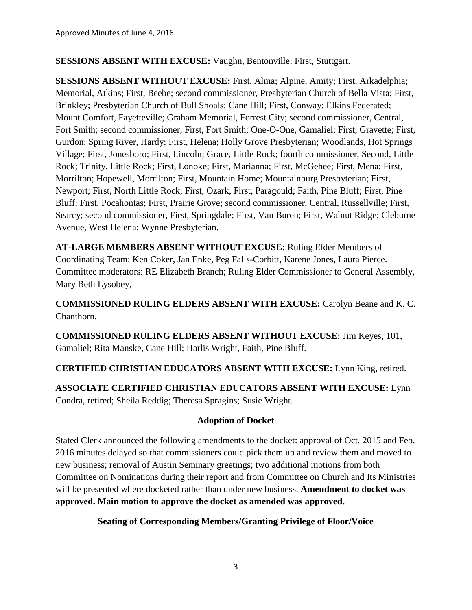**SESSIONS ABSENT WITH EXCUSE:** Vaughn, Bentonville; First, Stuttgart.

**SESSIONS ABSENT WITHOUT EXCUSE:** First, Alma; Alpine, Amity; First, Arkadelphia; Memorial, Atkins; First, Beebe; second commissioner, Presbyterian Church of Bella Vista; First, Brinkley; Presbyterian Church of Bull Shoals; Cane Hill; First, Conway; Elkins Federated; Mount Comfort, Fayetteville; Graham Memorial, Forrest City; second commissioner, Central, Fort Smith; second commissioner, First, Fort Smith; One-O-One, Gamaliel; First, Gravette; First, Gurdon; Spring River, Hardy; First, Helena; Holly Grove Presbyterian; Woodlands, Hot Springs Village; First, Jonesboro; First, Lincoln; Grace, Little Rock; fourth commissioner, Second, Little Rock; Trinity, Little Rock; First, Lonoke; First, Marianna; First, McGehee; First, Mena; First, Morrilton; Hopewell, Morrilton; First, Mountain Home; Mountainburg Presbyterian; First, Newport; First, North Little Rock; First, Ozark, First, Paragould; Faith, Pine Bluff; First, Pine Bluff; First, Pocahontas; First, Prairie Grove; second commissioner, Central, Russellville; First, Searcy; second commissioner, First, Springdale; First, Van Buren; First, Walnut Ridge; Cleburne Avenue, West Helena; Wynne Presbyterian.

**AT-LARGE MEMBERS ABSENT WITHOUT EXCUSE:** Ruling Elder Members of Coordinating Team: Ken Coker, Jan Enke, Peg Falls-Corbitt, Karene Jones, Laura Pierce. Committee moderators: RE Elizabeth Branch; Ruling Elder Commissioner to General Assembly, Mary Beth Lysobey,

**COMMISSIONED RULING ELDERS ABSENT WITH EXCUSE:** Carolyn Beane and K. C. Chanthorn.

**COMMISSIONED RULING ELDERS ABSENT WITHOUT EXCUSE:** Jim Keyes, 101, Gamaliel; Rita Manske, Cane Hill; Harlis Wright, Faith, Pine Bluff.

**CERTIFIED CHRISTIAN EDUCATORS ABSENT WITH EXCUSE:** Lynn King, retired.

**ASSOCIATE CERTIFIED CHRISTIAN EDUCATORS ABSENT WITH EXCUSE:** Lynn Condra, retired; Sheila Reddig; Theresa Spragins; Susie Wright.

## **Adoption of Docket**

Stated Clerk announced the following amendments to the docket: approval of Oct. 2015 and Feb. 2016 minutes delayed so that commissioners could pick them up and review them and moved to new business; removal of Austin Seminary greetings; two additional motions from both Committee on Nominations during their report and from Committee on Church and Its Ministries will be presented where docketed rather than under new business. **Amendment to docket was approved. Main motion to approve the docket as amended was approved.**

**Seating of Corresponding Members/Granting Privilege of Floor/Voice**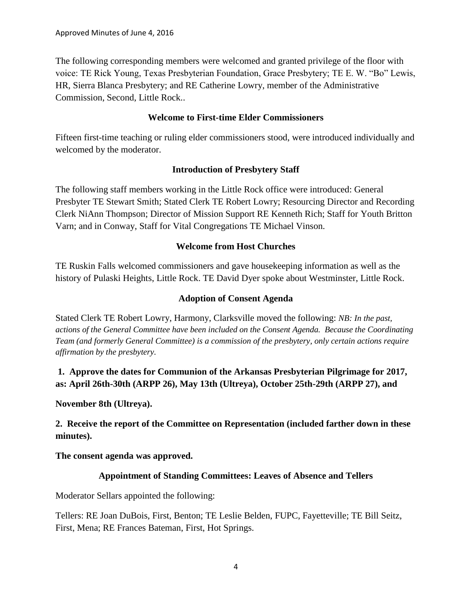The following corresponding members were welcomed and granted privilege of the floor with voice: TE Rick Young, Texas Presbyterian Foundation, Grace Presbytery; TE E. W. "Bo" Lewis, HR, Sierra Blanca Presbytery; and RE Catherine Lowry, member of the Administrative Commission, Second, Little Rock..

#### **Welcome to First-time Elder Commissioners**

Fifteen first-time teaching or ruling elder commissioners stood, were introduced individually and welcomed by the moderator.

## **Introduction of Presbytery Staff**

The following staff members working in the Little Rock office were introduced: General Presbyter TE Stewart Smith; Stated Clerk TE Robert Lowry; Resourcing Director and Recording Clerk NiAnn Thompson; Director of Mission Support RE Kenneth Rich; Staff for Youth Britton Varn; and in Conway, Staff for Vital Congregations TE Michael Vinson.

#### **Welcome from Host Churches**

TE Ruskin Falls welcomed commissioners and gave housekeeping information as well as the history of Pulaski Heights, Little Rock. TE David Dyer spoke about Westminster, Little Rock.

## **Adoption of Consent Agenda**

Stated Clerk TE Robert Lowry, Harmony, Clarksville moved the following: *NB: In the past, actions of the General Committee have been included on the Consent Agenda. Because the Coordinating Team (and formerly General Committee) is a commission of the presbytery, only certain actions require affirmation by the presbytery.* 

**1. Approve the dates for Communion of the Arkansas Presbyterian Pilgrimage for 2017, as: April 26th-30th (ARPP 26), May 13th (Ultreya), October 25th-29th (ARPP 27), and** 

**November 8th (Ultreya).** 

**2. Receive the report of the Committee on Representation (included farther down in these minutes).**

**The consent agenda was approved.**

## **Appointment of Standing Committees: Leaves of Absence and Tellers**

Moderator Sellars appointed the following:

Tellers: RE Joan DuBois, First, Benton; TE Leslie Belden, FUPC, Fayetteville; TE Bill Seitz, First, Mena; RE Frances Bateman, First, Hot Springs.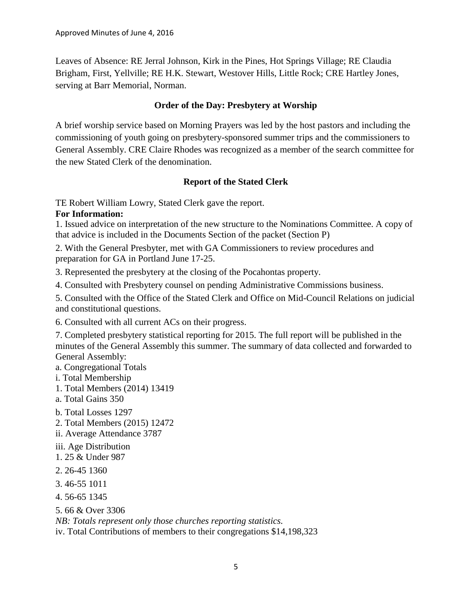Leaves of Absence: RE Jerral Johnson, Kirk in the Pines, Hot Springs Village; RE Claudia Brigham, First, Yellville; RE H.K. Stewart, Westover Hills, Little Rock; CRE Hartley Jones, serving at Barr Memorial, Norman.

# **Order of the Day: Presbytery at Worship**

A brief worship service based on Morning Prayers was led by the host pastors and including the commissioning of youth going on presbytery-sponsored summer trips and the commissioners to General Assembly. CRE Claire Rhodes was recognized as a member of the search committee for the new Stated Clerk of the denomination.

# **Report of the Stated Clerk**

TE Robert William Lowry, Stated Clerk gave the report.

# **For Information:**

1. Issued advice on interpretation of the new structure to the Nominations Committee. A copy of that advice is included in the Documents Section of the packet (Section P)

2. With the General Presbyter, met with GA Commissioners to review procedures and preparation for GA in Portland June 17-25.

3. Represented the presbytery at the closing of the Pocahontas property.

4. Consulted with Presbytery counsel on pending Administrative Commissions business.

5. Consulted with the Office of the Stated Clerk and Office on Mid-Council Relations on judicial and constitutional questions.

6. Consulted with all current ACs on their progress.

7. Completed presbytery statistical reporting for 2015. The full report will be published in the minutes of the General Assembly this summer. The summary of data collected and forwarded to General Assembly:

a. Congregational Totals

- i. Total Membership
- 1. Total Members (2014) 13419
- a. Total Gains 350
- b. Total Losses 1297
- 2. Total Members (2015) 12472
- ii. Average Attendance 3787

iii. Age Distribution

- 1. 25 & Under 987
- 2. 26-45 1360
- 3. 46-55 1011
- 4. 56-65 1345
- 5. 66 & Over 3306

*NB: Totals represent only those churches reporting statistics.* 

iv. Total Contributions of members to their congregations \$14,198,323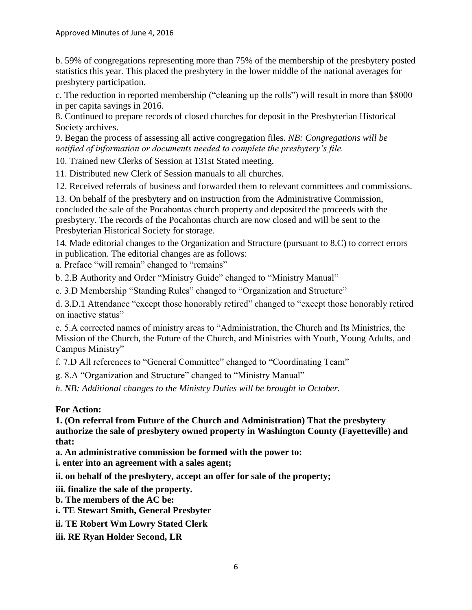b. 59% of congregations representing more than 75% of the membership of the presbytery posted statistics this year. This placed the presbytery in the lower middle of the national averages for presbytery participation.

c. The reduction in reported membership ("cleaning up the rolls") will result in more than \$8000 in per capita savings in 2016.

8. Continued to prepare records of closed churches for deposit in the Presbyterian Historical Society archives.

9. Began the process of assessing all active congregation files. *NB: Congregations will be notified of information or documents needed to complete the presbytery's file.* 

10. Trained new Clerks of Session at 131st Stated meeting.

11. Distributed new Clerk of Session manuals to all churches.

12. Received referrals of business and forwarded them to relevant committees and commissions.

13. On behalf of the presbytery and on instruction from the Administrative Commission, concluded the sale of the Pocahontas church property and deposited the proceeds with the presbytery. The records of the Pocahontas church are now closed and will be sent to the Presbyterian Historical Society for storage.

14. Made editorial changes to the Organization and Structure (pursuant to 8.C) to correct errors in publication. The editorial changes are as follows:

a. Preface "will remain" changed to "remains"

b. 2.B Authority and Order "Ministry Guide" changed to "Ministry Manual"

c. 3.D Membership "Standing Rules" changed to "Organization and Structure"

d. 3.D.1 Attendance "except those honorably retired" changed to "except those honorably retired on inactive status"

e. 5.A corrected names of ministry areas to "Administration, the Church and Its Ministries, the Mission of the Church, the Future of the Church, and Ministries with Youth, Young Adults, and Campus Ministry"

f. 7.D All references to "General Committee" changed to "Coordinating Team"

g. 8.A "Organization and Structure" changed to "Ministry Manual"

*h. NB: Additional changes to the Ministry Duties will be brought in October.* 

# **For Action:**

**1. (On referral from Future of the Church and Administration) That the presbytery authorize the sale of presbytery owned property in Washington County (Fayetteville) and that:** 

**a. An administrative commission be formed with the power to:** 

**i. enter into an agreement with a sales agent;** 

**ii. on behalf of the presbytery, accept an offer for sale of the property;** 

**iii. finalize the sale of the property.** 

**b. The members of the AC be:** 

**i. TE Stewart Smith, General Presbyter** 

**ii. TE Robert Wm Lowry Stated Clerk** 

**iii. RE Ryan Holder Second, LR**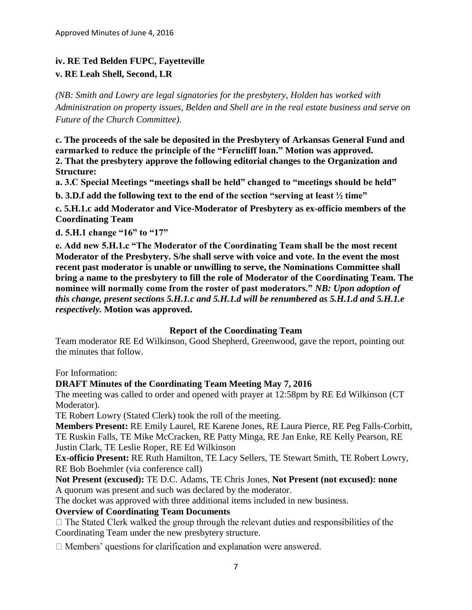# **iv. RE Ted Belden FUPC, Fayetteville v. RE Leah Shell, Second, LR**

*(NB: Smith and Lowry are legal signatories for the presbytery, Holden has worked with Administration on property issues, Belden and Shell are in the real estate business and serve on Future of the Church Committee).*

**c. The proceeds of the sale be deposited in the Presbytery of Arkansas General Fund and earmarked to reduce the principle of the "Ferncliff loan." Motion was approved. 2. That the presbytery approve the following editorial changes to the Organization and Structure:** 

**a. 3.C Special Meetings "meetings shall be held" changed to "meetings should be held"** 

**b. 3.D.f add the following text to the end of the section "serving at least ½ time"** 

**c. 5.H.1.c add Moderator and Vice-Moderator of Presbytery as ex-officio members of the Coordinating Team** 

**d. 5.H.1 change "16" to "17"** 

**e. Add new 5.H.1.c "The Moderator of the Coordinating Team shall be the most recent Moderator of the Presbytery. S/he shall serve with voice and vote. In the event the most recent past moderator is unable or unwilling to serve, the Nominations Committee shall bring a name to the presbytery to fill the role of Moderator of the Coordinating Team. The nominee will normally come from the roster of past moderators."** *NB: Upon adoption of this change, present sections 5.H.1.c and 5.H.1.d will be renumbered as 5.H.1.d and 5.H.1.e respectively.* **Motion was approved.**

## **Report of the Coordinating Team**

Team moderator RE Ed Wilkinson, Good Shepherd, Greenwood, gave the report, pointing out the minutes that follow.

For Information:

## **DRAFT Minutes of the Coordinating Team Meeting May 7, 2016**

The meeting was called to order and opened with prayer at 12:58pm by RE Ed Wilkinson (CT Moderator).

TE Robert Lowry (Stated Clerk) took the roll of the meeting.

**Members Present:** RE Emily Laurel, RE Karene Jones, RE Laura Pierce, RE Peg Falls-Corbitt, TE Ruskin Falls, TE Mike McCracken, RE Patty Minga, RE Jan Enke, RE Kelly Pearson, RE Justin Clark, TE Leslie Roper, RE Ed Wilkinson

**Ex-officio Present:** RE Ruth Hamilton, TE Lacy Sellers, TE Stewart Smith, TE Robert Lowry, RE Bob Boehmler (via conference call)

**Not Present (excused):** TE D.C. Adams, TE Chris Jones, **Not Present (not excused): none**  A quorum was present and such was declared by the moderator.

The docket was approved with three additional items included in new business.

#### **Overview of Coordinating Team Documents**

 $\Box$  The Stated Clerk walked the group through the relevant duties and responsibilities of the Coordinating Team under the new presbytery structure.

 $\Box$  Members' questions for clarification and explanation were answered.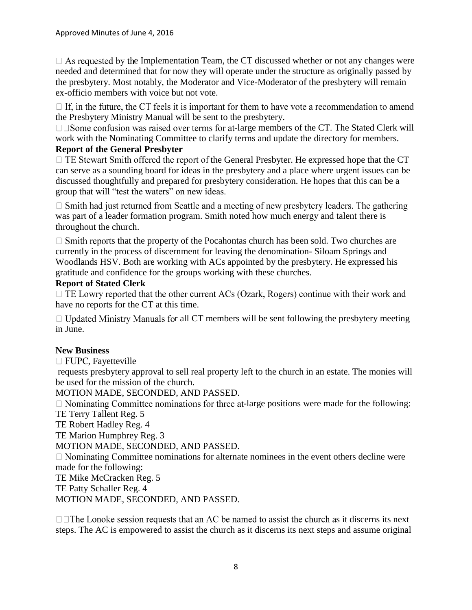$\Box$  As requested by the Implementation Team, the CT discussed whether or not any changes were needed and determined that for now they will operate under the structure as originally passed by the presbytery. Most notably, the Moderator and Vice-Moderator of the presbytery will remain ex-officio members with voice but not vote.

 $\Box$  If, in the future, the CT feels it is important for them to have vote a recommendation to amend the Presbytery Ministry Manual will be sent to the presbytery.

 $\square$   $\square$  Some confusion was raised over terms for at-large members of the CT. The Stated Clerk will work with the Nominating Committee to clarify terms and update the directory for members.

## **Report of the General Presbyter**

 $\Box$  TE Stewart Smith offered the report of the General Presbyter. He expressed hope that the CT can serve as a sounding board for ideas in the presbytery and a place where urgent issues can be discussed thoughtfully and prepared for presbytery consideration. He hopes that this can be a group that will "test the waters" on new ideas.

□ Smith had just returned from Seattle and a meeting of new presbytery leaders. The gathering was part of a leader formation program. Smith noted how much energy and talent there is throughout the church.

 $\Box$  Smith reports that the property of the Pocahontas church has been sold. Two churches are currently in the process of discernment for leaving the denomination- Siloam Springs and Woodlands HSV. Both are working with ACs appointed by the presbytery. He expressed his gratitude and confidence for the groups working with these churches.

## **Report of Stated Clerk**

 $\Box$  TE Lowry reported that the other current ACs (Ozark, Rogers) continue with their work and have no reports for the CT at this time.

 $\Box$  Updated Ministry Manuals for all CT members will be sent following the presbytery meeting in June.

## **New Business**

 $\Box$  FUPC, Fayetteville

requests presbytery approval to sell real property left to the church in an estate. The monies will be used for the mission of the church.

MOTION MADE, SECONDED, AND PASSED.

 $\Box$  Nominating Committee nominations for three at-large positions were made for the following: TE Terry Tallent Reg. 5

TE Robert Hadley Reg. 4

TE Marion Humphrey Reg. 3

MOTION MADE, SECONDED, AND PASSED.

 $\Box$  Nominating Committee nominations for alternate nominees in the event others decline were made for the following:

TE Mike McCracken Reg. 5

TE Patty Schaller Reg. 4

MOTION MADE, SECONDED, AND PASSED.

 $\Box$  The Lonoke session requests that an AC be named to assist the church as it discerns its next steps. The AC is empowered to assist the church as it discerns its next steps and assume original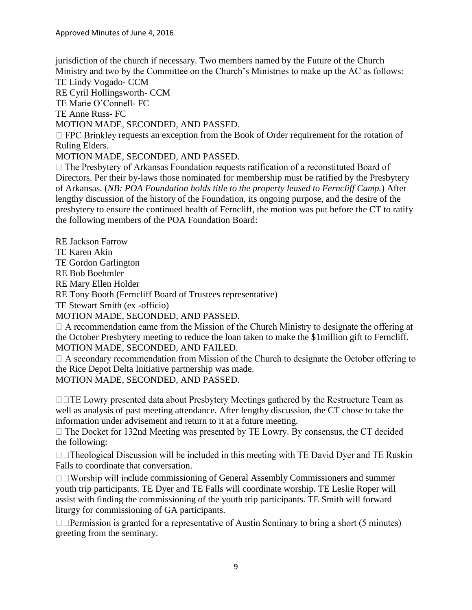jurisdiction of the church if necessary. Two members named by the Future of the Church Ministry and two by the Committee on the Church's Ministries to make up the AC as follows:

TE Lindy Vogado- CCM

RE Cyril Hollingsworth- CCM

TE Marie O'Connell- FC

TE Anne Russ- FC

MOTION MADE, SECONDED, AND PASSED.

 $\Box$  FPC Brinkley requests an exception from the Book of Order requirement for the rotation of Ruling Elders.

MOTION MADE, SECONDED, AND PASSED.

 $\Box$  The Presbytery of Arkansas Foundation requests ratification of a reconstituted Board of Directors. Per their by-laws those nominated for membership must be ratified by the Presbytery of Arkansas. (*NB: POA Foundation holds title to the property leased to Ferncliff Camp.*) After lengthy discussion of the history of the Foundation, its ongoing purpose, and the desire of the presbytery to ensure the continued health of Ferncliff, the motion was put before the CT to ratify the following members of the POA Foundation Board:

RE Jackson Farrow

TE Karen Akin

TE Gordon Garlington

RE Bob Boehmler

RE Mary Ellen Holder

RE Tony Booth (Ferncliff Board of Trustees representative)

TE Stewart Smith (ex -officio)

MOTION MADE, SECONDED, AND PASSED.

 $\Box$  A recommendation came from the Mission of the Church Ministry to designate the offering at the October Presbytery meeting to reduce the loan taken to make the \$1million gift to Ferncliff. MOTION MADE, SECONDED, AND FAILED.

 $\Box$  A secondary recommendation from Mission of the Church to designate the October offering to the Rice Depot Delta Initiative partnership was made.

MOTION MADE, SECONDED, AND PASSED.

**THE LOWER PERIODE CONTROLLER IS A LOCAL EXAMPLE TO A LOCAL A LOCAL PROPERIOR CONTROLLER ISL** DUTE LOWEY DESCRIPTION AS well as analysis of past meeting attendance. After lengthy discussion, the CT chose to take the information under advisement and return to it at a future meeting.

 $\Box$  The Docket for 132nd Meeting was presented by TE Lowry. By consensus, the CT decided the following:

 $\Box$  Theological Discussion will be included in this meeting with TE David Dyer and TE Ruskin Falls to coordinate that conversation.

 $\Box$  Worship will include commissioning of General Assembly Commissioners and summer youth trip participants. TE Dyer and TE Falls will coordinate worship. TE Leslie Roper will assist with finding the commissioning of the youth trip participants. TE Smith will forward liturgy for commissioning of GA participants.

 $\Box$  Permission is granted for a representative of Austin Seminary to bring a short (5 minutes) greeting from the seminary.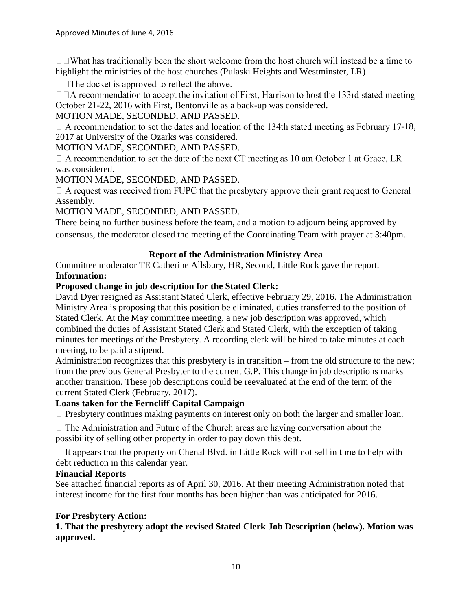$\Box$  What has traditionally been the short welcome from the host church will instead be a time to highlight the ministries of the host churches (Pulaski Heights and Westminster, LR)

 $\square$  The docket is approved to reflect the above.

 $\Box$   $\Box$  A recommendation to accept the invitation of First, Harrison to host the 133rd stated meeting October 21-22, 2016 with First, Bentonville as a back-up was considered.

## MOTION MADE, SECONDED, AND PASSED.

 $\Box$  A recommendation to set the dates and location of the 134th stated meeting as February 17-18, 2017 at University of the Ozarks was considered.

## MOTION MADE, SECONDED, AND PASSED.

 $\Box$  A recommendation to set the date of the next CT meeting as 10 am October 1 at Grace, LR was considered.

MOTION MADE, SECONDED, AND PASSED.

 $\Box$  A request was received from FUPC that the presbytery approve their grant request to General Assembly.

MOTION MADE, SECONDED, AND PASSED.

There being no further business before the team, and a motion to adjourn being approved by consensus, the moderator closed the meeting of the Coordinating Team with prayer at 3:40pm.

## **Report of the Administration Ministry Area**

Committee moderator TE Catherine Allsbury, HR, Second, Little Rock gave the report. **Information:** 

#### **Proposed change in job description for the Stated Clerk:**

David Dyer resigned as Assistant Stated Clerk, effective February 29, 2016. The Administration Ministry Area is proposing that this position be eliminated, duties transferred to the position of Stated Clerk. At the May committee meeting, a new job description was approved, which combined the duties of Assistant Stated Clerk and Stated Clerk, with the exception of taking minutes for meetings of the Presbytery. A recording clerk will be hired to take minutes at each meeting, to be paid a stipend.

Administration recognizes that this presbytery is in transition – from the old structure to the new; from the previous General Presbyter to the current G.P. This change in job descriptions marks another transition. These job descriptions could be reevaluated at the end of the term of the current Stated Clerk (February, 2017).

## **Loans taken for the Ferncliff Capital Campaign**

 $\Box$  Presbytery continues making payments on interest only on both the larger and smaller loan.

 $\Box$  The Administration and Future of the Church areas are having conversation about the possibility of selling other property in order to pay down this debt.

 $\Box$  It appears that the property on Chenal Blvd. in Little Rock will not sell in time to help with debt reduction in this calendar year.

## **Financial Reports**

See attached financial reports as of April 30, 2016. At their meeting Administration noted that interest income for the first four months has been higher than was anticipated for 2016.

## **For Presbytery Action:**

**1. That the presbytery adopt the revised Stated Clerk Job Description (below). Motion was approved.**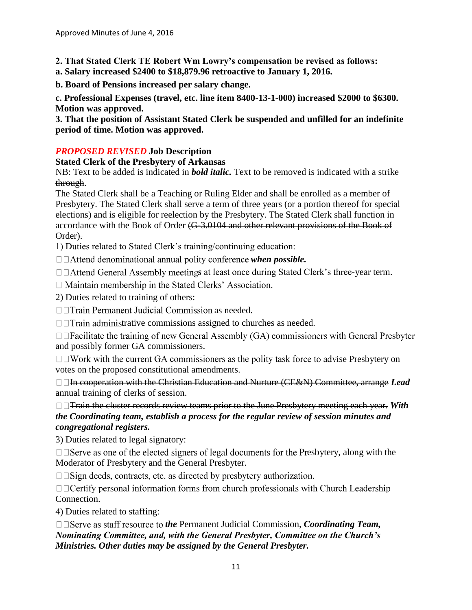**2. That Stated Clerk TE Robert Wm Lowry's compensation be revised as follows:** 

**a. Salary increased \$2400 to \$18,879.96 retroactive to January 1, 2016.** 

**b. Board of Pensions increased per salary change.** 

**c. Professional Expenses (travel, etc. line item 8400-13-1-000) increased \$2000 to \$6300. Motion was approved.**

**3. That the position of Assistant Stated Clerk be suspended and unfilled for an indefinite period of time. Motion was approved.**

# *PROPOSED REVISED* **Job Description**

**Stated Clerk of the Presbytery of Arkansas** 

NB: Text to be added is indicated in *bold italic.* Text to be removed is indicated with a strike through.

The Stated Clerk shall be a Teaching or Ruling Elder and shall be enrolled as a member of Presbytery. The Stated Clerk shall serve a term of three years (or a portion thereof for special elections) and is eligible for reelection by the Presbytery. The Stated Clerk shall function in accordance with the Book of Order (G-3.0104 and other relevant provisions of the Book of Order).

1) Duties related to Stated Clerk's training/continuing education:

□□Attend denominational annual polity conference when possible.

□□Attend General Assembly meetings at least once during Stated Clerk's three-year term.

 $\Box$  Maintain membership in the Stated Clerks' Association.

2) Duties related to training of others:

 $\Box$ Train Permanent Judicial Commission as needed.

 $\Box$  Train administrative commissions assigned to churches as needed.

 $\Box$  Facilitate the training of new General Assembly (GA) commissioners with General Presbyter and possibly former GA commissioners.

 $\Box$  Work with the current GA commissioners as the polity task force to advise Presbytery on votes on the proposed constitutional amendments.

In cooperation with the Christian Education and Nurture (CE&N) Committee, arrange *Lead*  annual training of clerks of session.

## Train the cluster records review teams prior to the June Presbytery meeting each year. *With the Coordinating team, establish a process for the regular review of session minutes and congregational registers.*

3) Duties related to legal signatory:

 $\square$   $\square$  Serve as one of the elected signers of legal documents for the Presbytery, along with the Moderator of Presbytery and the General Presbyter.

 $\square$   $\square$  Sign deeds, contracts, etc. as directed by presbytery authorization.

Connection.

4) Duties related to staffing:

□□Serve as staff resource to the Permanent Judicial Commission, *Coordinating Team*, *Nominating Committee, and, with the General Presbyter, Committee on the Church's Ministries. Other duties may be assigned by the General Presbyter.*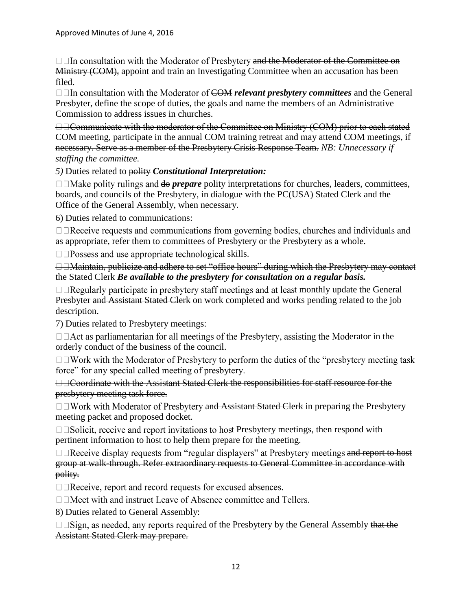$\Box$  In consultation with the Moderator of Presbytery and the Moderator of the Committee on Ministry (COM), appoint and train an Investigating Committee when an accusation has been filed.

□□In consultation with the Moderator of <del>COM</del> relevant presbytery committees and the General Presbyter, define the scope of duties, the goals and name the members of an Administrative Commission to address issues in churches.

□ □ Communicate with the moderator of the Committee on Ministry (COM) prior to each stated COM meeting, participate in the annual COM training retreat and may attend COM meetings, if necessary. Serve as a member of the Presbytery Crisis Response Team. *NB: Unnecessary if staffing the committee.* 

*5)* Duties related to polity *Constitutional Interpretation:* 

 $\Box$   $\Box$  Make polity rulings and  $\Theta$  *prepare* polity interpretations for churches, leaders, committees, boards, and councils of the Presbytery, in dialogue with the PC(USA) Stated Clerk and the Office of the General Assembly, when necessary.

6) Duties related to communications:

 $\Box$  Receive requests and communications from governing bodies, churches and individuals and as appropriate, refer them to committees of Presbytery or the Presbytery as a whole.

 $\square$  Possess and use appropriate technological skills.

□□Maintain, publicize and adhere to set "office hours" during which the Presbytery may contact the Stated Clerk *Be available to the presbytery for consultation on a regular basis.* 

 $\Box$  Regularly participate in presbytery staff meetings and at least monthly update the General Presbyter and Assistant Stated Clerk on work completed and works pending related to the job description.

7) Duties related to Presbytery meetings:

 $\Box$   $\Box$  Act as parliamentarian for all meetings of the Presbytery, assisting the Moderator in the orderly conduct of the business of the council.

 $\Box$  Work with the Moderator of Presbytery to perform the duties of the "presbytery meeting task" force" for any special called meeting of presbytery.

the responsibilities for staff resource for the presbytery meeting task force.

 $\Box$  Work with Moderator of Presbytery and Assistant Stated Clerk in preparing the Presbytery meeting packet and proposed docket.

 $\Box$   $\Box$ Solicit, receive and report invitations to host Presbytery meetings, then respond with pertinent information to host to help them prepare for the meeting.

 $\Box$  Receive display requests from "regular displayers" at Presbytery meetings and report to host group at walk-through. Refer extraordinary requests to General Committee in accordance with polity.

 $\Box$   $\Box$  Receive, report and record requests for excused absences.

 $\Box$  Meet with and instruct Leave of Absence committee and Tellers.

8) Duties related to General Assembly:

 $\square$  $\square$ Sign, as needed, any reports required of the Presbytery by the General Assembly that the Assistant Stated Clerk may prepare.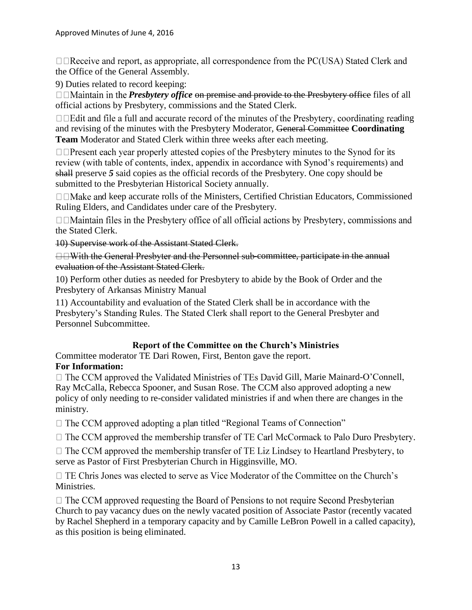$\Box$  Receive and report, as appropriate, all correspondence from the PC(USA) Stated Clerk and the Office of the General Assembly.

9) Duties related to record keeping:

*Presbytery office* on premise and provide to the Presbytery office files of all official actions by Presbytery, commissions and the Stated Clerk.

 $\Box$  Edit and file a full and accurate record of the minutes of the Presbytery, coordinating reading and revising of the minutes with the Presbytery Moderator, General Committee **Coordinating Team** Moderator and Stated Clerk within three weeks after each meeting.

 $\Box$  Present each year properly attested copies of the Presbytery minutes to the Synod for its review (with table of contents, index, appendix in accordance with Synod's requirements) and shall preserve *5* said copies as the official records of the Presbytery. One copy should be submitted to the Presbyterian Historical Society annually.

 $\Box$   $\Box$  Make and keep accurate rolls of the Ministers, Certified Christian Educators, Commissioned Ruling Elders, and Candidates under care of the Presbytery.

 $\Box$  Maintain files in the Presbytery office of all official actions by Presbytery, commissions and the Stated Clerk.

10) Supervise work of the Assistant Stated Clerk.

 $\Box$  With the General Presbyter and the Personnel sub-committee, participate in the annual evaluation of the Assistant Stated Clerk.

10) Perform other duties as needed for Presbytery to abide by the Book of Order and the Presbytery of Arkansas Ministry Manual

11) Accountability and evaluation of the Stated Clerk shall be in accordance with the Presbytery's Standing Rules. The Stated Clerk shall report to the General Presbyter and Personnel Subcommittee.

# **Report of the Committee on the Church's Ministries**

Committee moderator TE Dari Rowen, First, Benton gave the report. **For Information:** 

 $\Box$  The CCM approved the Validated Ministries of TEs David Gill, Marie Mainard-O'Connell, Ray McCalla, Rebecca Spooner, and Susan Rose. The CCM also approved adopting a new policy of only needing to re-consider validated ministries if and when there are changes in the ministry.

 $\Box$  The CCM approved adopting a plan titled "Regional Teams of Connection"

 $\Box$  The CCM approved the membership transfer of TE Carl McCormack to Palo Duro Presbytery.

 $\Box$  The CCM approved the membership transfer of TE Liz Lindsey to Heartland Presbytery, to serve as Pastor of First Presbyterian Church in Higginsville, MO.

 $\Box$  TE Chris Jones was elected to serve as Vice Moderator of the Committee on the Church's Ministries.

 $\Box$  The CCM approved requesting the Board of Pensions to not require Second Presbyterian Church to pay vacancy dues on the newly vacated position of Associate Pastor (recently vacated by Rachel Shepherd in a temporary capacity and by Camille LeBron Powell in a called capacity), as this position is being eliminated.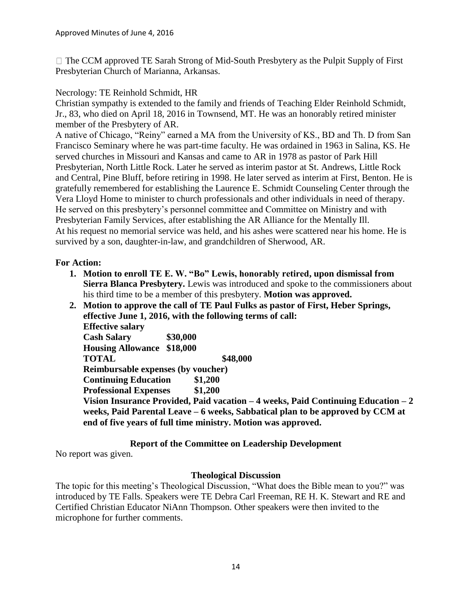$\Box$  The CCM approved TE Sarah Strong of Mid-South Presbytery as the Pulpit Supply of First Presbyterian Church of Marianna, Arkansas.

#### Necrology: TE Reinhold Schmidt, HR

Christian sympathy is extended to the family and friends of Teaching Elder Reinhold Schmidt, Jr., 83, who died on April 18, 2016 in Townsend, MT. He was an honorably retired minister member of the Presbytery of AR.

A native of Chicago, "Reiny" earned a MA from the University of KS., BD and Th. D from San Francisco Seminary where he was part-time faculty. He was ordained in 1963 in Salina, KS. He served churches in Missouri and Kansas and came to AR in 1978 as pastor of Park Hill Presbyterian, North Little Rock. Later he served as interim pastor at St. Andrews, Little Rock and Central, Pine Bluff, before retiring in 1998. He later served as interim at First, Benton. He is gratefully remembered for establishing the Laurence E. Schmidt Counseling Center through the Vera Lloyd Home to minister to church professionals and other individuals in need of therapy. He served on this presbytery's personnel committee and Committee on Ministry and with Presbyterian Family Services, after establishing the AR Alliance for the Mentally Ill. At his request no memorial service was held, and his ashes were scattered near his home. He is survived by a son, daughter-in-law, and grandchildren of Sherwood, AR.

#### **For Action:**

- **1. Motion to enroll TE E. W. "Bo" Lewis, honorably retired, upon dismissal from Sierra Blanca Presbytery.** Lewis was introduced and spoke to the commissioners about his third time to be a member of this presbytery. **Motion was approved.**
- **2. Motion to approve the call of TE Paul Fulks as pastor of First, Heber Springs, effective June 1, 2016, with the following terms of call:**

**Effective salary Cash Salary \$30,000 Housing Allowance \$18,000 TOTAL \$48,000 Reimbursable expenses (by voucher) Continuing Education \$1,200 Professional Expenses \$1,200 Vision Insurance Provided, Paid vacation – 4 weeks, Paid Continuing Education – 2 weeks, Paid Parental Leave – 6 weeks, Sabbatical plan to be approved by CCM at end of five years of full time ministry. Motion was approved.**

## **Report of the Committee on Leadership Development**

No report was given.

## **Theological Discussion**

The topic for this meeting's Theological Discussion, "What does the Bible mean to you?" was introduced by TE Falls. Speakers were TE Debra Carl Freeman, RE H. K. Stewart and RE and Certified Christian Educator NiAnn Thompson. Other speakers were then invited to the microphone for further comments.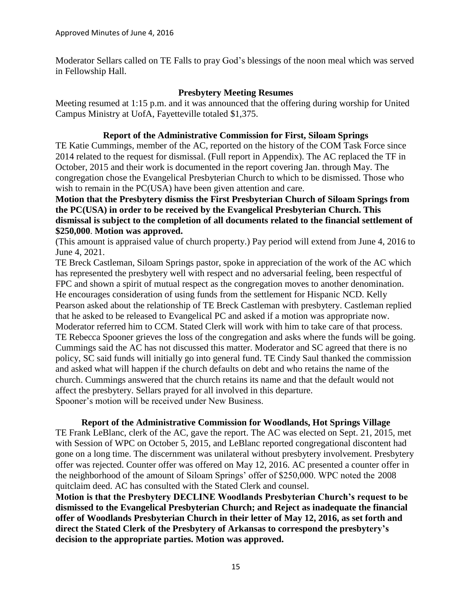Moderator Sellars called on TE Falls to pray God's blessings of the noon meal which was served in Fellowship Hall.

#### **Presbytery Meeting Resumes**

Meeting resumed at 1:15 p.m. and it was announced that the offering during worship for United Campus Ministry at UofA, Fayetteville totaled \$1,375.

#### **Report of the Administrative Commission for First, Siloam Springs**

TE Katie Cummings, member of the AC, reported on the history of the COM Task Force since 2014 related to the request for dismissal. (Full report in Appendix). The AC replaced the TF in October, 2015 and their work is documented in the report covering Jan. through May. The congregation chose the Evangelical Presbyterian Church to which to be dismissed. Those who wish to remain in the PC(USA) have been given attention and care.

**Motion that the Presbytery dismiss the First Presbyterian Church of Siloam Springs from the PC(USA) in order to be received by the Evangelical Presbyterian Church. This dismissal is subject to the completion of all documents related to the financial settlement of \$250,000**. **Motion was approved.**

(This amount is appraised value of church property.) Pay period will extend from June 4, 2016 to June 4, 2021.

TE Breck Castleman, Siloam Springs pastor, spoke in appreciation of the work of the AC which has represented the presbytery well with respect and no adversarial feeling, been respectful of FPC and shown a spirit of mutual respect as the congregation moves to another denomination. He encourages consideration of using funds from the settlement for Hispanic NCD. Kelly Pearson asked about the relationship of TE Breck Castleman with presbytery. Castleman replied that he asked to be released to Evangelical PC and asked if a motion was appropriate now. Moderator referred him to CCM. Stated Clerk will work with him to take care of that process. TE Rebecca Spooner grieves the loss of the congregation and asks where the funds will be going. Cummings said the AC has not discussed this matter. Moderator and SC agreed that there is no policy, SC said funds will initially go into general fund. TE Cindy Saul thanked the commission and asked what will happen if the church defaults on debt and who retains the name of the church. Cummings answered that the church retains its name and that the default would not affect the presbytery. Sellars prayed for all involved in this departure. Spooner's motion will be received under New Business.

## **Report of the Administrative Commission for Woodlands, Hot Springs Village**

TE Frank LeBlanc, clerk of the AC, gave the report. The AC was elected on Sept. 21, 2015, met with Session of WPC on October 5, 2015, and LeBlanc reported congregational discontent had gone on a long time. The discernment was unilateral without presbytery involvement. Presbytery offer was rejected. Counter offer was offered on May 12, 2016. AC presented a counter offer in the neighborhood of the amount of Siloam Springs' offer of \$250,000. WPC noted the 2008 quitclaim deed. AC has consulted with the Stated Clerk and counsel.

**Motion is that the Presbytery DECLINE Woodlands Presbyterian Church's request to be dismissed to the Evangelical Presbyterian Church; and Reject as inadequate the financial offer of Woodlands Presbyterian Church in their letter of May 12, 2016, as set forth and direct the Stated Clerk of the Presbytery of Arkansas to correspond the presbytery's decision to the appropriate parties. Motion was approved.**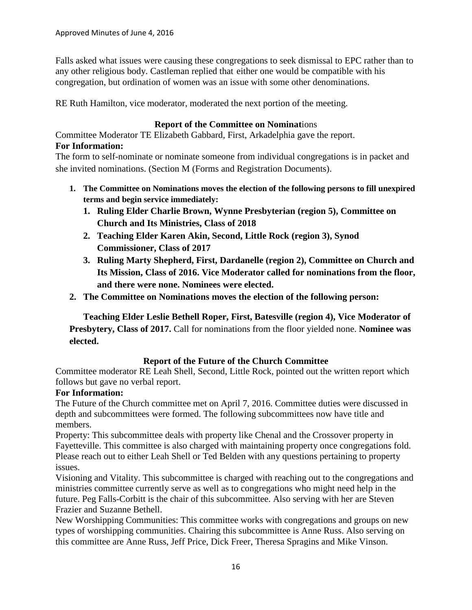Falls asked what issues were causing these congregations to seek dismissal to EPC rather than to any other religious body. Castleman replied that either one would be compatible with his congregation, but ordination of women was an issue with some other denominations.

RE Ruth Hamilton, vice moderator, moderated the next portion of the meeting.

## **Report of the Committee on Nominat**ions

Committee Moderator TE Elizabeth Gabbard, First, Arkadelphia gave the report. **For Information:** 

The form to self-nominate or nominate someone from individual congregations is in packet and she invited nominations. (Section M (Forms and Registration Documents).

- **1. The Committee on Nominations moves the election of the following persons to fill unexpired terms and begin service immediately:**
	- **1. Ruling Elder Charlie Brown, Wynne Presbyterian (region 5), Committee on Church and Its Ministries, Class of 2018**
	- **2. Teaching Elder Karen Akin, Second, Little Rock (region 3), Synod Commissioner, Class of 2017**
	- **3. Ruling Marty Shepherd, First, Dardanelle (region 2), Committee on Church and Its Mission, Class of 2016. Vice Moderator called for nominations from the floor, and there were none. Nominees were elected.**
- **2. The Committee on Nominations moves the election of the following person:**

**Teaching Elder Leslie Bethell Roper, First, Batesville (region 4), Vice Moderator of Presbytery, Class of 2017.** Call for nominations from the floor yielded none. **Nominee was elected.**

# **Report of the Future of the Church Committee**

Committee moderator RE Leah Shell, Second, Little Rock, pointed out the written report which follows but gave no verbal report.

## **For Information:**

The Future of the Church committee met on April 7, 2016. Committee duties were discussed in depth and subcommittees were formed. The following subcommittees now have title and members.

Property: This subcommittee deals with property like Chenal and the Crossover property in Fayetteville. This committee is also charged with maintaining property once congregations fold. Please reach out to either Leah Shell or Ted Belden with any questions pertaining to property issues.

Visioning and Vitality. This subcommittee is charged with reaching out to the congregations and ministries committee currently serve as well as to congregations who might need help in the future. Peg Falls-Corbitt is the chair of this subcommittee. Also serving with her are Steven Frazier and Suzanne Bethell.

New Worshipping Communities: This committee works with congregations and groups on new types of worshipping communities. Chairing this subcommittee is Anne Russ. Also serving on this committee are Anne Russ, Jeff Price, Dick Freer, Theresa Spragins and Mike Vinson.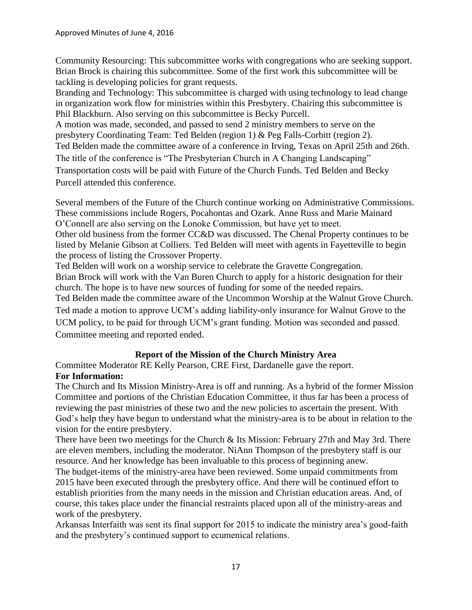Community Resourcing: This subcommittee works with congregations who are seeking support. Brian Brock is chairing this subcommittee. Some of the first work this subcommittee will be tackling is developing policies for grant requests.

Branding and Technology: This subcommittee is charged with using technology to lead change in organization work flow for ministries within this Presbytery. Chairing this subcommittee is Phil Blackburn. Also serving on this subcommittee is Becky Purcell.

A motion was made, seconded, and passed to send 2 ministry members to serve on the presbytery Coordinating Team: Ted Belden (region 1) & Peg Falls-Corbitt (region 2). Ted Belden made the committee aware of a conference in Irving, Texas on April 25th and 26th. The title of the conference is "The Presbyterian Church in A Changing Landscaping" Transportation costs will be paid with Future of the Church Funds. Ted Belden and Becky Purcell attended this conference.

Several members of the Future of the Church continue working on Administrative Commissions. These commissions include Rogers, Pocahontas and Ozark. Anne Russ and Marie Mainard O'Connell are also serving on the Lonoke Commission, but have yet to meet.

Other old business from the former CC&D was discussed. The Chenal Property continues to be listed by Melanie Gibson at Colliers. Ted Belden will meet with agents in Fayetteville to begin the process of listing the Crossover Property.

Ted Belden will work on a worship service to celebrate the Gravette Congregation. Brian Brock will work with the Van Buren Church to apply for a historic designation for their church. The hope is to have new sources of funding for some of the needed repairs. Ted Belden made the committee aware of the Uncommon Worship at the Walnut Grove Church. Ted made a motion to approve UCM's adding liability-only insurance for Walnut Grove to the UCM policy, to be paid for through UCM's grant funding. Motion was seconded and passed. Committee meeting and reported ended.

## **Report of the Mission of the Church Ministry Area**

Committee Moderator RE Kelly Pearson, CRE First, Dardanelle gave the report. **For Information:** 

The Church and Its Mission Ministry-Area is off and running. As a hybrid of the former Mission Committee and portions of the Christian Education Committee, it thus far has been a process of reviewing the past ministries of these two and the new policies to ascertain the present. With God's help they have begun to understand what the ministry-area is to be about in relation to the vision for the entire presbytery.

There have been two meetings for the Church & Its Mission: February 27th and May 3rd. There are eleven members, including the moderator. NiAnn Thompson of the presbytery staff is our resource. And her knowledge has been invaluable to this process of beginning anew.

The budget-items of the ministry-area have been reviewed. Some unpaid commitments from 2015 have been executed through the presbytery office. And there will be continued effort to establish priorities from the many needs in the mission and Christian education areas. And, of course, this takes place under the financial restraints placed upon all of the ministry-areas and work of the presbytery.

Arkansas Interfaith was sent its final support for 2015 to indicate the ministry area's good-faith and the presbytery's continued support to ecumenical relations.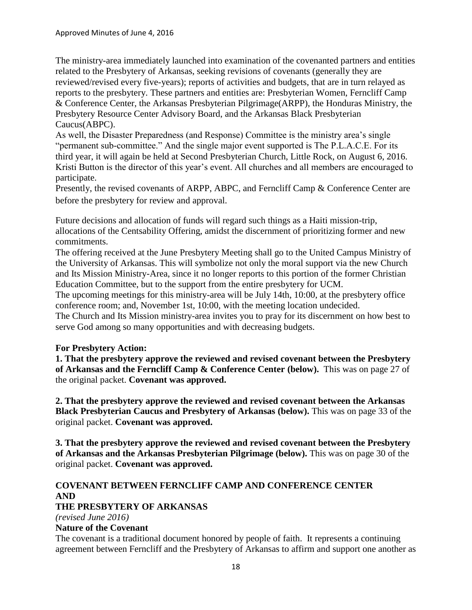The ministry-area immediately launched into examination of the covenanted partners and entities related to the Presbytery of Arkansas, seeking revisions of covenants (generally they are reviewed/revised every five-years); reports of activities and budgets, that are in turn relayed as reports to the presbytery. These partners and entities are: Presbyterian Women, Ferncliff Camp & Conference Center, the Arkansas Presbyterian Pilgrimage(ARPP), the Honduras Ministry, the Presbytery Resource Center Advisory Board, and the Arkansas Black Presbyterian Caucus(ABPC).

As well, the Disaster Preparedness (and Response) Committee is the ministry area's single "permanent sub-committee." And the single major event supported is The P.L.A.C.E. For its third year, it will again be held at Second Presbyterian Church, Little Rock, on August 6, 2016. Kristi Button is the director of this year's event. All churches and all members are encouraged to participate.

Presently, the revised covenants of ARPP, ABPC, and Ferncliff Camp & Conference Center are before the presbytery for review and approval.

Future decisions and allocation of funds will regard such things as a Haiti mission-trip, allocations of the Centsability Offering, amidst the discernment of prioritizing former and new commitments.

The offering received at the June Presbytery Meeting shall go to the United Campus Ministry of the University of Arkansas. This will symbolize not only the moral support via the new Church and Its Mission Ministry-Area, since it no longer reports to this portion of the former Christian Education Committee, but to the support from the entire presbytery for UCM.

The upcoming meetings for this ministry-area will be July 14th, 10:00, at the presbytery office conference room; and, November 1st, 10:00, with the meeting location undecided.

The Church and Its Mission ministry-area invites you to pray for its discernment on how best to serve God among so many opportunities and with decreasing budgets.

# **For Presbytery Action:**

**1. That the presbytery approve the reviewed and revised covenant between the Presbytery of Arkansas and the Ferncliff Camp & Conference Center (below).** This was on page 27 of the original packet. **Covenant was approved.**

**2. That the presbytery approve the reviewed and revised covenant between the Arkansas Black Presbyterian Caucus and Presbytery of Arkansas (below).** This was on page 33 of the original packet. **Covenant was approved.**

**3. That the presbytery approve the reviewed and revised covenant between the Presbytery of Arkansas and the Arkansas Presbyterian Pilgrimage (below).** This was on page 30 of the original packet. **Covenant was approved.**

# **COVENANT BETWEEN FERNCLIFF CAMP AND CONFERENCE CENTER AND**

## **THE PRESBYTERY OF ARKANSAS**

*(revised June 2016)*

## **Nature of the Covenant**

The covenant is a traditional document honored by people of faith. It represents a continuing agreement between Ferncliff and the Presbytery of Arkansas to affirm and support one another as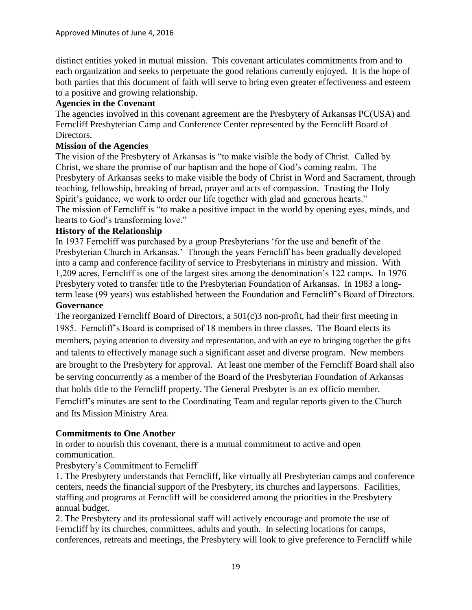distinct entities yoked in mutual mission. This covenant articulates commitments from and to each organization and seeks to perpetuate the good relations currently enjoyed. It is the hope of both parties that this document of faith will serve to bring even greater effectiveness and esteem to a positive and growing relationship.

## **Agencies in the Covenant**

The agencies involved in this covenant agreement are the Presbytery of Arkansas PC(USA) and Ferncliff Presbyterian Camp and Conference Center represented by the Ferncliff Board of Directors.

## **Mission of the Agencies**

The vision of the Presbytery of Arkansas is "to make visible the body of Christ. Called by Christ, we share the promise of our baptism and the hope of God's coming realm. The Presbytery of Arkansas seeks to make visible the body of Christ in Word and Sacrament, through teaching, fellowship, breaking of bread, prayer and acts of compassion. Trusting the Holy Spirit's guidance, we work to order our life together with glad and generous hearts." The mission of Ferncliff is "to make a positive impact in the world by opening eyes, minds, and hearts to God's transforming love."

## **History of the Relationship**

In 1937 Ferncliff was purchased by a group Presbyterians 'for the use and benefit of the Presbyterian Church in Arkansas.' Through the years Ferncliff has been gradually developed into a camp and conference facility of service to Presbyterians in ministry and mission. With 1,209 acres, Ferncliff is one of the largest sites among the denomination's 122 camps. In 1976 Presbytery voted to transfer title to the Presbyterian Foundation of Arkansas. In 1983 a longterm lease (99 years) was established between the Foundation and Ferncliff's Board of Directors. **Governance**

The reorganized Ferncliff Board of Directors, a 501(c)3 non-profit, had their first meeting in 1985. Ferncliff's Board is comprised of 18 members in three classes. The Board elects its members, paying attention to diversity and representation, and with an eye to bringing together the gifts and talents to effectively manage such a significant asset and diverse program. New members are brought to the Presbytery for approval. At least one member of the Ferncliff Board shall also be serving concurrently as a member of the Board of the Presbyterian Foundation of Arkansas that holds title to the Ferncliff property. The General Presbyter is an ex officio member. Ferncliff's minutes are sent to the Coordinating Team and regular reports given to the Church and Its Mission Ministry Area.

# **Commitments to One Another**

In order to nourish this covenant, there is a mutual commitment to active and open communication.

## Presbytery's Commitment to Ferncliff

1. The Presbytery understands that Ferncliff, like virtually all Presbyterian camps and conference centers, needs the financial support of the Presbytery, its churches and laypersons. Facilities, staffing and programs at Ferncliff will be considered among the priorities in the Presbytery annual budget.

2. The Presbytery and its professional staff will actively encourage and promote the use of Ferncliff by its churches, committees, adults and youth. In selecting locations for camps, conferences, retreats and meetings, the Presbytery will look to give preference to Ferncliff while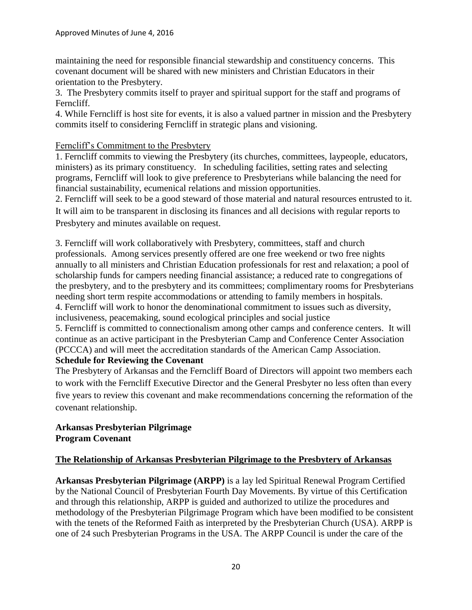maintaining the need for responsible financial stewardship and constituency concerns. This covenant document will be shared with new ministers and Christian Educators in their orientation to the Presbytery.

3. The Presbytery commits itself to prayer and spiritual support for the staff and programs of Ferncliff.

4. While Ferncliff is host site for events, it is also a valued partner in mission and the Presbytery commits itself to considering Ferncliff in strategic plans and visioning.

## Ferncliff's Commitment to the Presbytery

1. Ferncliff commits to viewing the Presbytery (its churches, committees, laypeople, educators, ministers) as its primary constituency. In scheduling facilities, setting rates and selecting programs, Ferncliff will look to give preference to Presbyterians while balancing the need for financial sustainability, ecumenical relations and mission opportunities.

2. Ferncliff will seek to be a good steward of those material and natural resources entrusted to it. It will aim to be transparent in disclosing its finances and all decisions with regular reports to Presbytery and minutes available on request.

3. Ferncliff will work collaboratively with Presbytery, committees, staff and church professionals. Among services presently offered are one free weekend or two free nights annually to all ministers and Christian Education professionals for rest and relaxation; a pool of scholarship funds for campers needing financial assistance; a reduced rate to congregations of the presbytery, and to the presbytery and its committees; complimentary rooms for Presbyterians needing short term respite accommodations or attending to family members in hospitals. 4. Ferncliff will work to honor the denominational commitment to issues such as diversity, inclusiveness, peacemaking, sound ecological principles and social justice

5. Ferncliff is committed to connectionalism among other camps and conference centers. It will continue as an active participant in the Presbyterian Camp and Conference Center Association (PCCCA) and will meet the accreditation standards of the American Camp Association.

# **Schedule for Reviewing the Covenant**

The Presbytery of Arkansas and the Ferncliff Board of Directors will appoint two members each to work with the Ferncliff Executive Director and the General Presbyter no less often than every five years to review this covenant and make recommendations concerning the reformation of the covenant relationship.

## **Arkansas Presbyterian Pilgrimage Program Covenant**

# **The Relationship of Arkansas Presbyterian Pilgrimage to the Presbytery of Arkansas**

**Arkansas Presbyterian Pilgrimage (ARPP)** is a lay led Spiritual Renewal Program Certified by the National Council of Presbyterian Fourth Day Movements. By virtue of this Certification and through this relationship, ARPP is guided and authorized to utilize the procedures and methodology of the Presbyterian Pilgrimage Program which have been modified to be consistent with the tenets of the Reformed Faith as interpreted by the Presbyterian Church (USA). ARPP is one of 24 such Presbyterian Programs in the USA. The ARPP Council is under the care of the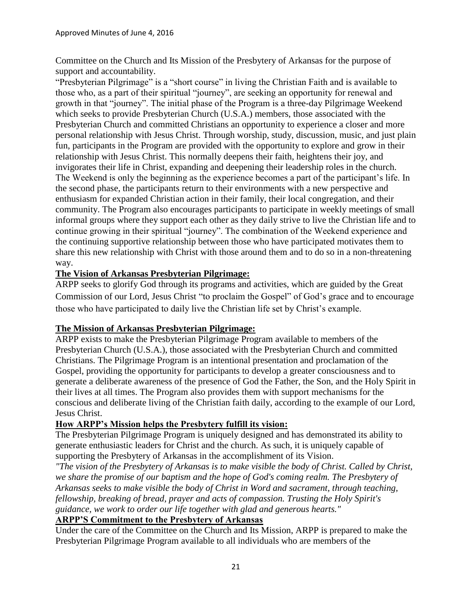Committee on the Church and Its Mission of the Presbytery of Arkansas for the purpose of support and accountability.

"Presbyterian Pilgrimage" is a "short course" in living the Christian Faith and is available to those who, as a part of their spiritual "journey", are seeking an opportunity for renewal and growth in that "journey". The initial phase of the Program is a three-day Pilgrimage Weekend which seeks to provide Presbyterian Church (U.S.A.) members, those associated with the Presbyterian Church and committed Christians an opportunity to experience a closer and more personal relationship with Jesus Christ. Through worship, study, discussion, music, and just plain fun, participants in the Program are provided with the opportunity to explore and grow in their relationship with Jesus Christ. This normally deepens their faith, heightens their joy, and invigorates their life in Christ, expanding and deepening their leadership roles in the church. The Weekend is only the beginning as the experience becomes a part of the participant's life. In the second phase, the participants return to their environments with a new perspective and enthusiasm for expanded Christian action in their family, their local congregation, and their community. The Program also encourages participants to participate in weekly meetings of small informal groups where they support each other as they daily strive to live the Christian life and to continue growing in their spiritual "journey". The combination of the Weekend experience and the continuing supportive relationship between those who have participated motivates them to share this new relationship with Christ with those around them and to do so in a non-threatening way.

# **The Vision of Arkansas Presbyterian Pilgrimage:**

ARPP seeks to glorify God through its programs and activities, which are guided by the Great Commission of our Lord, Jesus Christ "to proclaim the Gospel" of God's grace and to encourage those who have participated to daily live the Christian life set by Christ's example.

# **The Mission of Arkansas Presbyterian Pilgrimage:**

ARPP exists to make the Presbyterian Pilgrimage Program available to members of the Presbyterian Church (U.S.A.), those associated with the Presbyterian Church and committed Christians. The Pilgrimage Program is an intentional presentation and proclamation of the Gospel, providing the opportunity for participants to develop a greater consciousness and to generate a deliberate awareness of the presence of God the Father, the Son, and the Holy Spirit in their lives at all times. The Program also provides them with support mechanisms for the conscious and deliberate living of the Christian faith daily, according to the example of our Lord, Jesus Christ.

# **How ARPP's Mission helps the Presbytery fulfill its vision:**

The Presbyterian Pilgrimage Program is uniquely designed and has demonstrated its ability to generate enthusiastic leaders for Christ and the church. As such, it is uniquely capable of supporting the Presbytery of Arkansas in the accomplishment of its Vision.

*"The vision of the Presbytery of Arkansas is to make visible the body of Christ. Called by Christ, we share the promise of our baptism and the hope of God's coming realm. The Presbytery of Arkansas seeks to make visible the body of Christ in Word and sacrament, through teaching, fellowship, breaking of bread, prayer and acts of compassion. Trusting the Holy Spirit's guidance, we work to order our life together with glad and generous hearts."* 

## **ARPP'S Commitment to the Presbytery of Arkansas**

Under the care of the Committee on the Church and Its Mission, ARPP is prepared to make the Presbyterian Pilgrimage Program available to all individuals who are members of the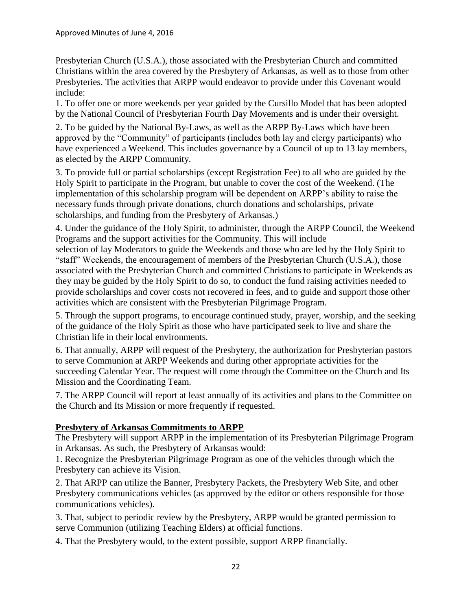Presbyterian Church (U.S.A.), those associated with the Presbyterian Church and committed Christians within the area covered by the Presbytery of Arkansas, as well as to those from other Presbyteries. The activities that ARPP would endeavor to provide under this Covenant would include:

1. To offer one or more weekends per year guided by the Cursillo Model that has been adopted by the National Council of Presbyterian Fourth Day Movements and is under their oversight.

2. To be guided by the National By-Laws, as well as the ARPP By-Laws which have been approved by the "Community" of participants (includes both lay and clergy participants) who have experienced a Weekend. This includes governance by a Council of up to 13 lay members, as elected by the ARPP Community.

3. To provide full or partial scholarships (except Registration Fee) to all who are guided by the Holy Spirit to participate in the Program, but unable to cover the cost of the Weekend. (The implementation of this scholarship program will be dependent on ARPP's ability to raise the necessary funds through private donations, church donations and scholarships, private scholarships, and funding from the Presbytery of Arkansas.)

4. Under the guidance of the Holy Spirit, to administer, through the ARPP Council, the Weekend Programs and the support activities for the Community. This will include

selection of lay Moderators to guide the Weekends and those who are led by the Holy Spirit to "staff" Weekends, the encouragement of members of the Presbyterian Church (U.S.A.), those associated with the Presbyterian Church and committed Christians to participate in Weekends as they may be guided by the Holy Spirit to do so, to conduct the fund raising activities needed to provide scholarships and cover costs not recovered in fees, and to guide and support those other activities which are consistent with the Presbyterian Pilgrimage Program.

5. Through the support programs, to encourage continued study, prayer, worship, and the seeking of the guidance of the Holy Spirit as those who have participated seek to live and share the Christian life in their local environments.

6. That annually, ARPP will request of the Presbytery, the authorization for Presbyterian pastors to serve Communion at ARPP Weekends and during other appropriate activities for the succeeding Calendar Year. The request will come through the Committee on the Church and Its Mission and the Coordinating Team.

7. The ARPP Council will report at least annually of its activities and plans to the Committee on the Church and Its Mission or more frequently if requested.

## **Presbytery of Arkansas Commitments to ARPP**

The Presbytery will support ARPP in the implementation of its Presbyterian Pilgrimage Program in Arkansas. As such, the Presbytery of Arkansas would:

1. Recognize the Presbyterian Pilgrimage Program as one of the vehicles through which the Presbytery can achieve its Vision.

2. That ARPP can utilize the Banner, Presbytery Packets, the Presbytery Web Site, and other Presbytery communications vehicles (as approved by the editor or others responsible for those communications vehicles).

3. That, subject to periodic review by the Presbytery, ARPP would be granted permission to serve Communion (utilizing Teaching Elders) at official functions.

4. That the Presbytery would, to the extent possible, support ARPP financially.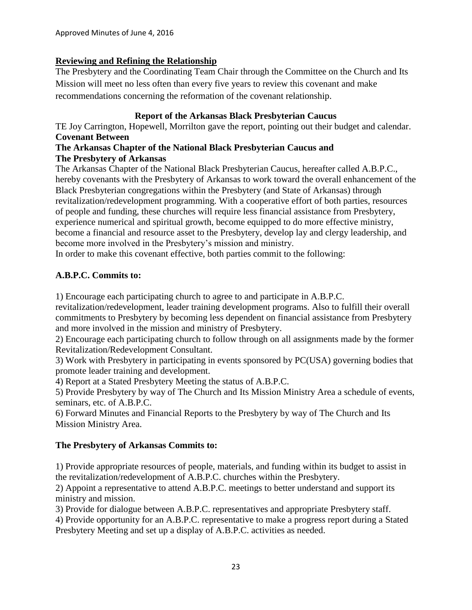## **Reviewing and Refining the Relationship**

The Presbytery and the Coordinating Team Chair through the Committee on the Church and Its Mission will meet no less often than every five years to review this covenant and make recommendations concerning the reformation of the covenant relationship.

## **Report of the Arkansas Black Presbyterian Caucus**

TE Joy Carrington, Hopewell, Morrilton gave the report, pointing out their budget and calendar. **Covenant Between** 

#### **The Arkansas Chapter of the National Black Presbyterian Caucus and The Presbytery of Arkansas**

The Arkansas Chapter of the National Black Presbyterian Caucus, hereafter called A.B.P.C., hereby covenants with the Presbytery of Arkansas to work toward the overall enhancement of the Black Presbyterian congregations within the Presbytery (and State of Arkansas) through revitalization/redevelopment programming. With a cooperative effort of both parties, resources of people and funding, these churches will require less financial assistance from Presbytery, experience numerical and spiritual growth, become equipped to do more effective ministry, become a financial and resource asset to the Presbytery, develop lay and clergy leadership, and become more involved in the Presbytery's mission and ministry.

In order to make this covenant effective, both parties commit to the following:

## **A.B.P.C. Commits to:**

1) Encourage each participating church to agree to and participate in A.B.P.C.

revitalization/redevelopment, leader training development programs. Also to fulfill their overall commitments to Presbytery by becoming less dependent on financial assistance from Presbytery and more involved in the mission and ministry of Presbytery.

2) Encourage each participating church to follow through on all assignments made by the former Revitalization/Redevelopment Consultant.

3) Work with Presbytery in participating in events sponsored by PC(USA) governing bodies that promote leader training and development.

4) Report at a Stated Presbytery Meeting the status of A.B.P.C.

5) Provide Presbytery by way of The Church and Its Mission Ministry Area a schedule of events, seminars, etc. of A.B.P.C.

6) Forward Minutes and Financial Reports to the Presbytery by way of The Church and Its Mission Ministry Area.

## **The Presbytery of Arkansas Commits to:**

1) Provide appropriate resources of people, materials, and funding within its budget to assist in the revitalization/redevelopment of A.B.P.C. churches within the Presbytery.

2) Appoint a representative to attend A.B.P.C. meetings to better understand and support its ministry and mission.

3) Provide for dialogue between A.B.P.C. representatives and appropriate Presbytery staff.

4) Provide opportunity for an A.B.P.C. representative to make a progress report during a Stated Presbytery Meeting and set up a display of A.B.P.C. activities as needed.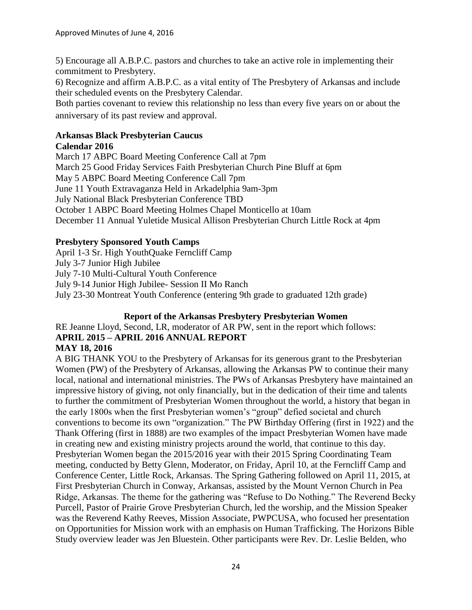5) Encourage all A.B.P.C. pastors and churches to take an active role in implementing their commitment to Presbytery.

6) Recognize and affirm A.B.P.C. as a vital entity of The Presbytery of Arkansas and include their scheduled events on the Presbytery Calendar.

Both parties covenant to review this relationship no less than every five years on or about the anniversary of its past review and approval.

# **Arkansas Black Presbyterian Caucus**

## **Calendar 2016**

March 17 ABPC Board Meeting Conference Call at 7pm March 25 Good Friday Services Faith Presbyterian Church Pine Bluff at 6pm May 5 ABPC Board Meeting Conference Call 7pm June 11 Youth Extravaganza Held in Arkadelphia 9am-3pm July National Black Presbyterian Conference TBD October 1 ABPC Board Meeting Holmes Chapel Monticello at 10am December 11 Annual Yuletide Musical Allison Presbyterian Church Little Rock at 4pm

# **Presbytery Sponsored Youth Camps**

April 1-3 Sr. High YouthQuake Ferncliff Camp July 3-7 Junior High Jubilee July 7-10 Multi-Cultural Youth Conference July 9-14 Junior High Jubilee- Session II Mo Ranch July 23-30 Montreat Youth Conference (entering 9th grade to graduated 12th grade)

# **Report of the Arkansas Presbytery Presbyterian Women**

RE Jeanne Lloyd, Second, LR, moderator of AR PW, sent in the report which follows: **APRIL 2015 – APRIL 2016 ANNUAL REPORT MAY 18, 2016** 

A BIG THANK YOU to the Presbytery of Arkansas for its generous grant to the Presbyterian Women (PW) of the Presbytery of Arkansas, allowing the Arkansas PW to continue their many local, national and international ministries. The PWs of Arkansas Presbytery have maintained an impressive history of giving, not only financially, but in the dedication of their time and talents to further the commitment of Presbyterian Women throughout the world, a history that began in the early 1800s when the first Presbyterian women's "group" defied societal and church conventions to become its own "organization." The PW Birthday Offering (first in 1922) and the Thank Offering (first in 1888) are two examples of the impact Presbyterian Women have made in creating new and existing ministry projects around the world, that continue to this day. Presbyterian Women began the 2015/2016 year with their 2015 Spring Coordinating Team meeting, conducted by Betty Glenn, Moderator, on Friday, April 10, at the Ferncliff Camp and Conference Center, Little Rock, Arkansas. The Spring Gathering followed on April 11, 2015, at First Presbyterian Church in Conway, Arkansas, assisted by the Mount Vernon Church in Pea Ridge, Arkansas. The theme for the gathering was "Refuse to Do Nothing." The Reverend Becky Purcell, Pastor of Prairie Grove Presbyterian Church, led the worship, and the Mission Speaker was the Reverend Kathy Reeves, Mission Associate, PWPCUSA, who focused her presentation on Opportunities for Mission work with an emphasis on Human Trafficking. The Horizons Bible Study overview leader was Jen Bluestein. Other participants were Rev. Dr. Leslie Belden, who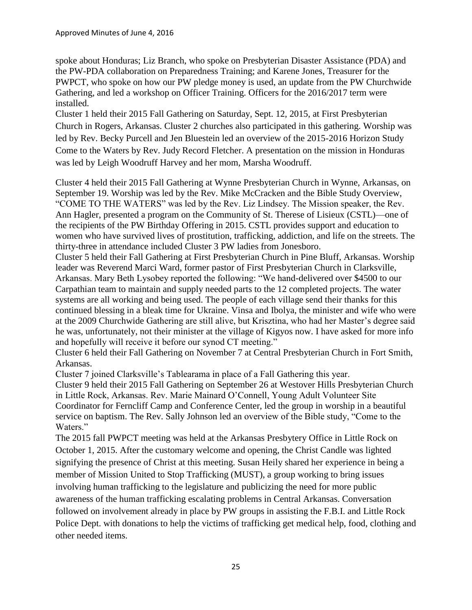spoke about Honduras; Liz Branch, who spoke on Presbyterian Disaster Assistance (PDA) and the PW-PDA collaboration on Preparedness Training; and Karene Jones, Treasurer for the PWPCT, who spoke on how our PW pledge money is used, an update from the PW Churchwide Gathering, and led a workshop on Officer Training. Officers for the 2016/2017 term were installed.

Cluster 1 held their 2015 Fall Gathering on Saturday, Sept. 12, 2015, at First Presbyterian Church in Rogers, Arkansas. Cluster 2 churches also participated in this gathering. Worship was led by Rev. Becky Purcell and Jen Bluestein led an overview of the 2015-2016 Horizon Study Come to the Waters by Rev. Judy Record Fletcher. A presentation on the mission in Honduras was led by Leigh Woodruff Harvey and her mom, Marsha Woodruff.

Cluster 4 held their 2015 Fall Gathering at Wynne Presbyterian Church in Wynne, Arkansas, on September 19. Worship was led by the Rev. Mike McCracken and the Bible Study Overview, "COME TO THE WATERS" was led by the Rev. Liz Lindsey. The Mission speaker, the Rev. Ann Hagler, presented a program on the Community of St. Therese of Lisieux (CSTL)—one of the recipients of the PW Birthday Offering in 2015. CSTL provides support and education to women who have survived lives of prostitution, trafficking, addiction, and life on the streets. The thirty-three in attendance included Cluster 3 PW ladies from Jonesboro.

Cluster 5 held their Fall Gathering at First Presbyterian Church in Pine Bluff, Arkansas. Worship leader was Reverend Marci Ward, former pastor of First Presbyterian Church in Clarksville, Arkansas. Mary Beth Lysobey reported the following: "We hand-delivered over \$4500 to our Carpathian team to maintain and supply needed parts to the 12 completed projects. The water systems are all working and being used. The people of each village send their thanks for this continued blessing in a bleak time for Ukraine. Vinsa and Ibolya, the minister and wife who were at the 2009 Churchwide Gathering are still alive, but Krisztina, who had her Master's degree said he was, unfortunately, not their minister at the village of Kigyos now. I have asked for more info and hopefully will receive it before our synod CT meeting."

Cluster 6 held their Fall Gathering on November 7 at Central Presbyterian Church in Fort Smith, Arkansas.

Cluster 7 joined Clarksville's Tablearama in place of a Fall Gathering this year.

Cluster 9 held their 2015 Fall Gathering on September 26 at Westover Hills Presbyterian Church in Little Rock, Arkansas. Rev. Marie Mainard O'Connell, Young Adult Volunteer Site Coordinator for Ferncliff Camp and Conference Center, led the group in worship in a beautiful service on baptism. The Rev. Sally Johnson led an overview of the Bible study, "Come to the Waters."

The 2015 fall PWPCT meeting was held at the Arkansas Presbytery Office in Little Rock on October 1, 2015. After the customary welcome and opening, the Christ Candle was lighted signifying the presence of Christ at this meeting. Susan Heily shared her experience in being a member of Mission United to Stop Trafficking (MUST), a group working to bring issues involving human trafficking to the legislature and publicizing the need for more public awareness of the human trafficking escalating problems in Central Arkansas. Conversation followed on involvement already in place by PW groups in assisting the F.B.I. and Little Rock Police Dept. with donations to help the victims of trafficking get medical help, food, clothing and other needed items.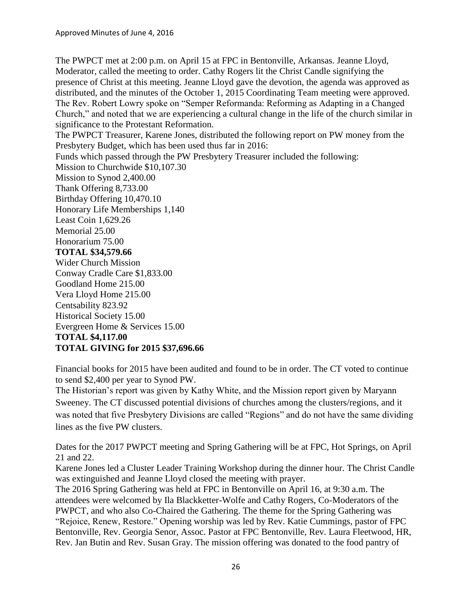The PWPCT met at 2:00 p.m. on April 15 at FPC in Bentonville, Arkansas. Jeanne Lloyd, Moderator, called the meeting to order. Cathy Rogers lit the Christ Candle signifying the presence of Christ at this meeting. Jeanne Lloyd gave the devotion, the agenda was approved as distributed, and the minutes of the October 1, 2015 Coordinating Team meeting were approved. The Rev. Robert Lowry spoke on "Semper Reformanda: Reforming as Adapting in a Changed Church," and noted that we are experiencing a cultural change in the life of the church similar in significance to the Protestant Reformation. The PWPCT Treasurer, Karene Jones, distributed the following report on PW money from the Presbytery Budget, which has been used thus far in 2016: Funds which passed through the PW Presbytery Treasurer included the following: Mission to Churchwide \$10,107.30 Mission to Synod 2,400.00 Thank Offering 8,733.00 Birthday Offering 10,470.10 Honorary Life Memberships 1,140 Least Coin 1,629.26 Memorial 25.00 Honorarium 75.00 **TOTAL \$34,579.66**  Wider Church Mission Conway Cradle Care \$1,833.00 Goodland Home 215.00 Vera Lloyd Home 215.00 Centsability 823.92 Historical Society 15.00 Evergreen Home & Services 15.00 **TOTAL \$4,117.00 TOTAL GIVING for 2015 \$37,696.66** 

Financial books for 2015 have been audited and found to be in order. The CT voted to continue to send \$2,400 per year to Synod PW.

The Historian's report was given by Kathy White, and the Mission report given by Maryann Sweeney. The CT discussed potential divisions of churches among the clusters/regions, and it was noted that five Presbytery Divisions are called "Regions" and do not have the same dividing lines as the five PW clusters.

Dates for the 2017 PWPCT meeting and Spring Gathering will be at FPC, Hot Springs, on April 21 and 22.

Karene Jones led a Cluster Leader Training Workshop during the dinner hour. The Christ Candle was extinguished and Jeanne Lloyd closed the meeting with prayer.

The 2016 Spring Gathering was held at FPC in Bentonville on April 16, at 9:30 a.m. The attendees were welcomed by Ila Blackketter-Wolfe and Cathy Rogers, Co-Moderators of the PWPCT, and who also Co-Chaired the Gathering. The theme for the Spring Gathering was "Rejoice, Renew, Restore." Opening worship was led by Rev. Katie Cummings, pastor of FPC Bentonville, Rev. Georgia Senor, Assoc. Pastor at FPC Bentonville, Rev. Laura Fleetwood, HR, Rev. Jan Butin and Rev. Susan Gray. The mission offering was donated to the food pantry of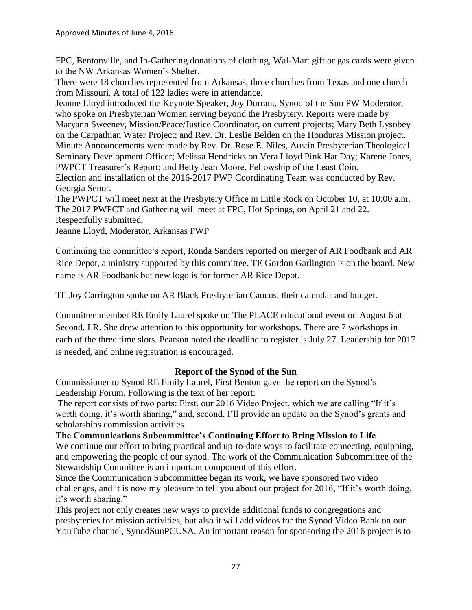FPC, Bentonville, and In-Gathering donations of clothing, Wal-Mart gift or gas cards were given to the NW Arkansas Women's Shelter.

There were 18 churches represented from Arkansas, three churches from Texas and one church from Missouri. A total of 122 ladies were in attendance.

Jeanne Lloyd introduced the Keynote Speaker, Joy Durrant, Synod of the Sun PW Moderator, who spoke on Presbyterian Women serving beyond the Presbytery. Reports were made by Maryann Sweeney, Mission/Peace/Justice Coordinator, on current projects; Mary Beth Lysobey on the Carpathian Water Project; and Rev. Dr. Leslie Belden on the Honduras Mission project. Minute Announcements were made by Rev. Dr. Rose E. Niles, Austin Presbyterian Theological Seminary Development Officer; Melissa Hendricks on Vera Lloyd Pink Hat Day; Karene Jones, PWPCT Treasurer's Report; and Betty Jean Moore, Fellowship of the Least Coin.

Election and installation of the 2016-2017 PWP Coordinating Team was conducted by Rev. Georgia Senor.

The PWPCT will meet next at the Presbytery Office in Little Rock on October 10, at 10:00 a.m. The 2017 PWPCT and Gathering will meet at FPC, Hot Springs, on April 21 and 22. Respectfully submitted,

Jeanne Lloyd, Moderator, Arkansas PWP

Continuing the committee's report, Ronda Sanders reported on merger of AR Foodbank and AR Rice Depot, a ministry supported by this committee. TE Gordon Garlington is on the board. New name is AR Foodbank but new logo is for former AR Rice Depot.

TE Joy Carrington spoke on AR Black Presbyterian Caucus, their calendar and budget.

Committee member RE Emily Laurel spoke on The PLACE educational event on August 6 at Second, LR. She drew attention to this opportunity for workshops. There are 7 workshops in each of the three time slots. Pearson noted the deadline to register is July 27. Leadership for 2017 is needed, and online registration is encouraged.

## **Report of the Synod of the Sun**

Commissioner to Synod RE Emily Laurel, First Benton gave the report on the Synod's Leadership Forum. Following is the text of her report:

The report consists of two parts: First, our 2016 Video Project, which we are calling "If it's worth doing, it's worth sharing," and, second, I'll provide an update on the Synod's grants and scholarships commission activities.

#### **The Communications Subcommittee's Continuing Effort to Bring Mission to Life**

We continue our effort to bring practical and up-to-date ways to facilitate connecting, equipping, and empowering the people of our synod. The work of the Communication Subcommittee of the Stewardship Committee is an important component of this effort.

Since the Communication Subcommittee began its work, we have sponsored two video challenges, and it is now my pleasure to tell you about our project for 2016, "If it's worth doing, it's worth sharing."

This project not only creates new ways to provide additional funds to congregations and presbyteries for mission activities, but also it will add videos for the Synod Video Bank on our YouTube channel, SynodSunPCUSA. An important reason for sponsoring the 2016 project is to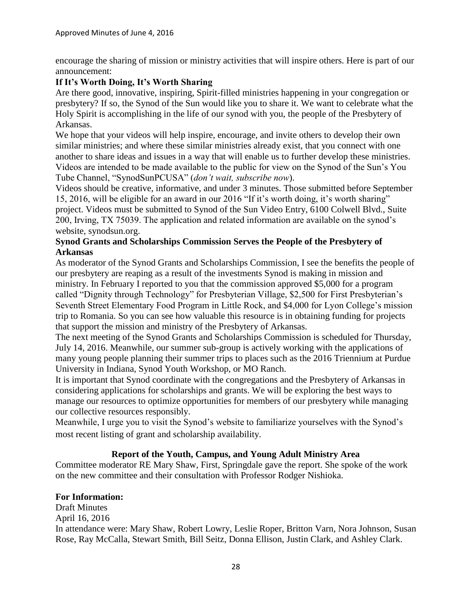encourage the sharing of mission or ministry activities that will inspire others. Here is part of our announcement:

#### **If It's Worth Doing, It's Worth Sharing**

Are there good, innovative, inspiring, Spirit-filled ministries happening in your congregation or presbytery? If so, the Synod of the Sun would like you to share it. We want to celebrate what the Holy Spirit is accomplishing in the life of our synod with you, the people of the Presbytery of Arkansas.

We hope that your videos will help inspire, encourage, and invite others to develop their own similar ministries; and where these similar ministries already exist, that you connect with one another to share ideas and issues in a way that will enable us to further develop these ministries. Videos are intended to be made available to the public for view on the Synod of the Sun's You Tube Channel, "SynodSunPCUSA" (*don't wait, subscribe now*).

Videos should be creative, informative, and under 3 minutes. Those submitted before September 15, 2016, will be eligible for an award in our 2016 "If it's worth doing, it's worth sharing" project. Videos must be submitted to Synod of the Sun Video Entry, 6100 Colwell Blvd., Suite 200, Irving, TX 75039. The application and related information are available on the synod's website, synodsun.org.

#### **Synod Grants and Scholarships Commission Serves the People of the Presbytery of Arkansas**

As moderator of the Synod Grants and Scholarships Commission, I see the benefits the people of our presbytery are reaping as a result of the investments Synod is making in mission and ministry. In February I reported to you that the commission approved \$5,000 for a program called "Dignity through Technology" for Presbyterian Village, \$2,500 for First Presbyterian's Seventh Street Elementary Food Program in Little Rock, and \$4,000 for Lyon College's mission trip to Romania. So you can see how valuable this resource is in obtaining funding for projects that support the mission and ministry of the Presbytery of Arkansas.

The next meeting of the Synod Grants and Scholarships Commission is scheduled for Thursday, July 14, 2016. Meanwhile, our summer sub-group is actively working with the applications of many young people planning their summer trips to places such as the 2016 Triennium at Purdue University in Indiana, Synod Youth Workshop, or MO Ranch.

It is important that Synod coordinate with the congregations and the Presbytery of Arkansas in considering applications for scholarships and grants. We will be exploring the best ways to manage our resources to optimize opportunities for members of our presbytery while managing our collective resources responsibly.

Meanwhile, I urge you to visit the Synod's website to familiarize yourselves with the Synod's most recent listing of grant and scholarship availability.

## **Report of the Youth, Campus, and Young Adult Ministry Area**

Committee moderator RE Mary Shaw, First, Springdale gave the report. She spoke of the work on the new committee and their consultation with Professor Rodger Nishioka.

## **For Information:**

Draft Minutes April 16, 2016 In attendance were: Mary Shaw, Robert Lowry, Leslie Roper, Britton Varn, Nora Johnson, Susan Rose, Ray McCalla, Stewart Smith, Bill Seitz, Donna Ellison, Justin Clark, and Ashley Clark.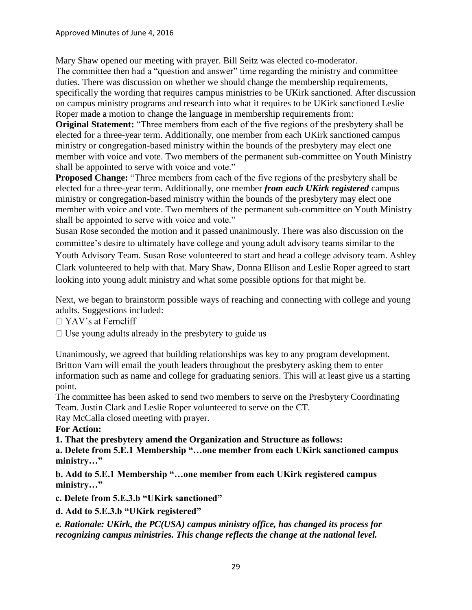Mary Shaw opened our meeting with prayer. Bill Seitz was elected co-moderator. The committee then had a "question and answer" time regarding the ministry and committee duties. There was discussion on whether we should change the membership requirements, specifically the wording that requires campus ministries to be UKirk sanctioned. After discussion on campus ministry programs and research into what it requires to be UKirk sanctioned Leslie Roper made a motion to change the language in membership requirements from:

**Original Statement:** "Three members from each of the five regions of the presbytery shall be elected for a three-year term. Additionally, one member from each UKirk sanctioned campus ministry or congregation-based ministry within the bounds of the presbytery may elect one member with voice and vote. Two members of the permanent sub-committee on Youth Ministry shall be appointed to serve with voice and vote."

**Proposed Change:** "Three members from each of the five regions of the presbytery shall be elected for a three-year term. Additionally, one member *from each UKirk registered* campus ministry or congregation-based ministry within the bounds of the presbytery may elect one member with voice and vote. Two members of the permanent sub-committee on Youth Ministry shall be appointed to serve with voice and vote."

Susan Rose seconded the motion and it passed unanimously. There was also discussion on the committee's desire to ultimately have college and young adult advisory teams similar to the Youth Advisory Team. Susan Rose volunteered to start and head a college advisory team. Ashley Clark volunteered to help with that. Mary Shaw, Donna Ellison and Leslie Roper agreed to start looking into young adult ministry and what some possible options for that might be.

Next, we began to brainstorm possible ways of reaching and connecting with college and young adults. Suggestions included:

 $\Box$  YAV's at Ferncliff

 $\Box$  Use young adults already in the presbytery to guide us

Unanimously, we agreed that building relationships was key to any program development. Britton Varn will email the youth leaders throughout the presbytery asking them to enter information such as name and college for graduating seniors. This will at least give us a starting point.

The committee has been asked to send two members to serve on the Presbytery Coordinating Team. Justin Clark and Leslie Roper volunteered to serve on the CT.

Ray McCalla closed meeting with prayer.

**For Action:** 

**1. That the presbytery amend the Organization and Structure as follows:** 

**a. Delete from 5.E.1 Membership "…one member from each UKirk sanctioned campus ministry…"** 

**b. Add to 5.E.1 Membership "…one member from each UKirk registered campus ministry…"** 

**c. Delete from 5.E.3.b "UKirk sanctioned"** 

**d. Add to 5.E.3.b "UKirk registered"** 

*e. Rationale: UKirk, the PC(USA) campus ministry office, has changed its process for recognizing campus ministries. This change reflects the change at the national level.*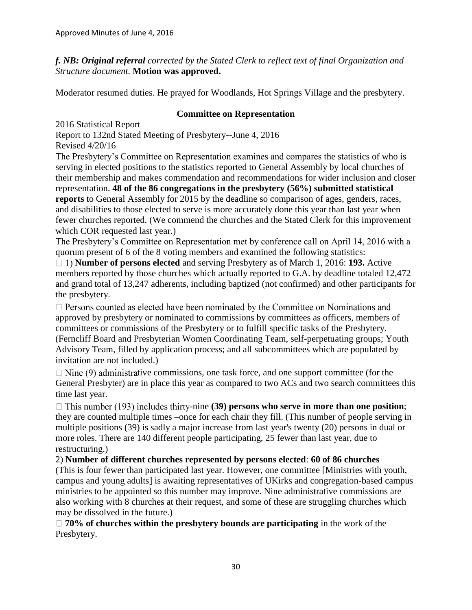*f. NB: Original referral corrected by the Stated Clerk to reflect text of final Organization and Structure document.* **Motion was approved.**

Moderator resumed duties. He prayed for Woodlands, Hot Springs Village and the presbytery.

## **Committee on Representation**

2016 Statistical Report

Report to 132nd Stated Meeting of Presbytery--June 4, 2016 Revised 4/20/16

The Presbytery's Committee on Representation examines and compares the statistics of who is serving in elected positions to the statistics reported to General Assembly by local churches of their membership and makes commendation and recommendations for wider inclusion and closer representation. **48 of the 86 congregations in the presbytery (56%) submitted statistical reports** to General Assembly for 2015 by the deadline so comparison of ages, genders, races, and disabilities to those elected to serve is more accurately done this year than last year when fewer churches reported. (We commend the churches and the Stated Clerk for this improvement which COR requested last year.)

The Presbytery's Committee on Representation met by conference call on April 14, 2016 with a quorum present of 6 of the 8 voting members and examined the following statistics:

**Number of persons elected** and serving Presbytery as of March 1, 2016: **193.** Active members reported by those churches which actually reported to G.A. by deadline totaled 12,472 and grand total of 13,247 adherents, including baptized (not confirmed) and other participants for the presbytery.

 $\Box$  Persons counted as elected have been nominated by the Committee on Nominations and approved by presbytery or nominated to commissions by committees as officers, members of committees or commissions of the Presbytery or to fulfill specific tasks of the Presbytery. (Ferncliff Board and Presbyterian Women Coordinating Team, self-perpetuating groups; Youth Advisory Team, filled by application process; and all subcommittees which are populated by invitation are not included.)

 $\Box$  Nine (9) administrative commissions, one task force, and one support committee (for the General Presbyter) are in place this year as compared to two ACs and two search committees this time last year.

 $\Box$  This number (193) includes thirty-nine (39) persons who serve in more than one position; they are counted multiple times –once for each chair they fill. (This number of people serving in multiple positions (39) is sadly a major increase from last year's twenty (20) persons in dual or more roles. There are 140 different people participating, 25 fewer than last year, due to restructuring.)

2) **Number of different churches represented by persons elected**: **60 of 86 churches** 

(This is four fewer than participated last year. However, one committee [Ministries with youth, campus and young adults] is awaiting representatives of UKirks and congregation-based campus ministries to be appointed so this number may improve. Nine administrative commissions are also working with 8 churches at their request, and some of these are struggling churches which may be dissolved in the future.)

**70% of churches within the presbytery bounds are participating** in the work of the Presbytery.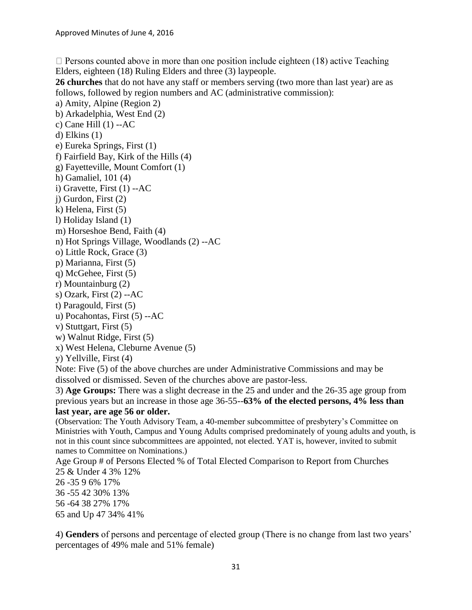$\Box$  Persons counted above in more than one position include eighteen (18) active Teaching Elders, eighteen (18) Ruling Elders and three (3) laypeople.

**26 churches** that do not have any staff or members serving (two more than last year) are as follows, followed by region numbers and AC (administrative commission):

a) Amity, Alpine (Region 2) b) Arkadelphia, West End (2) c) Cane Hill (1) --AC d) Elkins (1) e) Eureka Springs, First (1) f) Fairfield Bay, Kirk of the Hills (4) g) Fayetteville, Mount Comfort (1) h) Gamaliel, 101 (4)  $i)$  Gravette, First  $(1)$  --AC j) Gurdon, First (2) k) Helena, First (5) l) Holiday Island (1) m) Horseshoe Bend, Faith (4) n) Hot Springs Village, Woodlands (2) --AC o) Little Rock, Grace (3) p) Marianna, First (5) q) McGehee, First (5) r) Mountainburg (2) s) Ozark, First  $(2)$  --AC t) Paragould, First (5) u) Pocahontas, First (5) --AC v) Stuttgart, First (5) w) Walnut Ridge, First (5) x) West Helena, Cleburne Avenue (5) y) Yellville, First (4) Note: Five (5) of the above churches are under Administrative Commissions and may be dissolved or dismissed. Seven of the churches above are pastor-less. 3) **Age Groups:** There was a slight decrease in the 25 and under and the 26-35 age group from previous years but an increase in those age 36-55--**63% of the elected persons, 4% less than** 

## **last year, are age 56 or older.**

(Observation: The Youth Advisory Team, a 40-member subcommittee of presbytery's Committee on Ministries with Youth, Campus and Young Adults comprised predominately of young adults and youth, is not in this count since subcommittees are appointed, not elected. YAT is, however, invited to submit names to Committee on Nominations.)

Age Group # of Persons Elected % of Total Elected Comparison to Report from Churches 25 & Under 4 3% 12% 26 -35 9 6% 17% 36 -55 42 30% 13%

56 -64 38 27% 17%

65 and Up 47 34% 41%

4) **Genders** of persons and percentage of elected group (There is no change from last two years' percentages of 49% male and 51% female)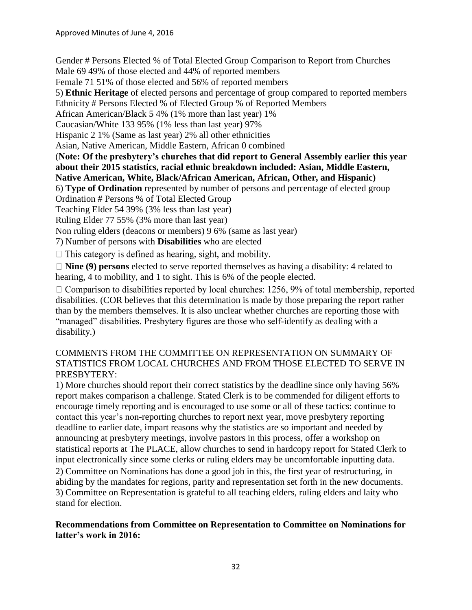Gender # Persons Elected % of Total Elected Group Comparison to Report from Churches Male 69 49% of those elected and 44% of reported members Female 71 51% of those elected and 56% of reported members 5) **Ethnic Heritage** of elected persons and percentage of group compared to reported members Ethnicity # Persons Elected % of Elected Group % of Reported Members African American/Black 5 4% (1% more than last year) 1% Caucasian/White 133 95% (1% less than last year) 97% Hispanic 2 1% (Same as last year) 2% all other ethnicities Asian, Native American, Middle Eastern, African 0 combined (**Note: Of the presbytery's churches that did report to General Assembly earlier this year about their 2015 statistics, racial ethnic breakdown included: Asian, Middle Eastern, Native American, White, Black/African American, African, Other, and Hispanic)**  6) **Type of Ordination** represented by number of persons and percentage of elected group Ordination # Persons % of Total Elected Group Teaching Elder 54 39% (3% less than last year) Ruling Elder 77 55% (3% more than last year) Non ruling elders (deacons or members) 9 6% (same as last year) 7) Number of persons with **Disabilities** who are elected  $\Box$  This category is defined as hearing, sight, and mobility. **Nine (9) persons** elected to serve reported themselves as having a disability: 4 related to hearing, 4 to mobility, and 1 to sight. This is 6% of the people elected.

 $\Box$  Comparison to disabilities reported by local churches: 1256, 9% of total membership, reported disabilities. (COR believes that this determination is made by those preparing the report rather than by the members themselves. It is also unclear whether churches are reporting those with "managed" disabilities. Presbytery figures are those who self-identify as dealing with a disability.)

## COMMENTS FROM THE COMMITTEE ON REPRESENTATION ON SUMMARY OF STATISTICS FROM LOCAL CHURCHES AND FROM THOSE ELECTED TO SERVE IN PRESBYTERY:

1) More churches should report their correct statistics by the deadline since only having 56% report makes comparison a challenge. Stated Clerk is to be commended for diligent efforts to encourage timely reporting and is encouraged to use some or all of these tactics: continue to contact this year's non-reporting churches to report next year, move presbytery reporting deadline to earlier date, impart reasons why the statistics are so important and needed by announcing at presbytery meetings, involve pastors in this process, offer a workshop on statistical reports at The PLACE, allow churches to send in hardcopy report for Stated Clerk to input electronically since some clerks or ruling elders may be uncomfortable inputting data. 2) Committee on Nominations has done a good job in this, the first year of restructuring, in abiding by the mandates for regions, parity and representation set forth in the new documents. 3) Committee on Representation is grateful to all teaching elders, ruling elders and laity who stand for election.

## **Recommendations from Committee on Representation to Committee on Nominations for latter's work in 2016:**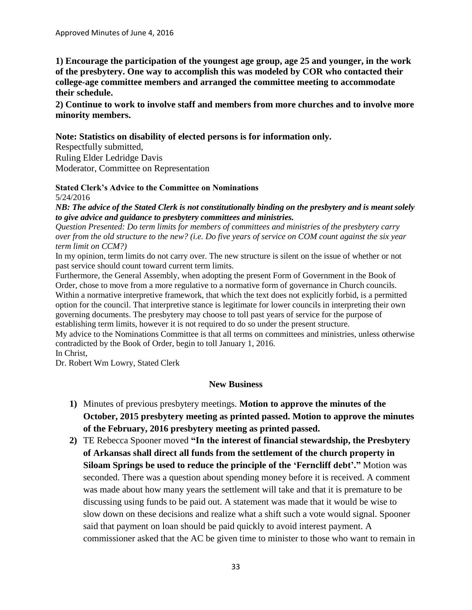**1) Encourage the participation of the youngest age group, age 25 and younger, in the work of the presbytery. One way to accomplish this was modeled by COR who contacted their college-age committee members and arranged the committee meeting to accommodate their schedule.** 

**2) Continue to work to involve staff and members from more churches and to involve more minority members.** 

#### **Note: Statistics on disability of elected persons is for information only.**

Respectfully submitted, Ruling Elder Ledridge Davis Moderator, Committee on Representation

#### **Stated Clerk's Advice to the Committee on Nominations**

5/24/2016

*NB: The advice of the Stated Clerk is not constitutionally binding on the presbytery and is meant solely to give advice and guidance to presbytery committees and ministries.* 

*Question Presented: Do term limits for members of committees and ministries of the presbytery carry over from the old structure to the new? (i.e. Do five years of service on COM count against the six year term limit on CCM?)* 

In my opinion, term limits do not carry over. The new structure is silent on the issue of whether or not past service should count toward current term limits.

Furthermore, the General Assembly, when adopting the present Form of Government in the Book of Order, chose to move from a more regulative to a normative form of governance in Church councils. Within a normative interpretive framework, that which the text does not explicitly forbid, is a permitted option for the council. That interpretive stance is legitimate for lower councils in interpreting their own governing documents. The presbytery may choose to toll past years of service for the purpose of establishing term limits, however it is not required to do so under the present structure.

My advice to the Nominations Committee is that all terms on committees and ministries, unless otherwise contradicted by the Book of Order, begin to toll January 1, 2016.

In Christ,

Dr. Robert Wm Lowry, Stated Clerk

#### **New Business**

- **1)** Minutes of previous presbytery meetings. **Motion to approve the minutes of the October, 2015 presbytery meeting as printed passed. Motion to approve the minutes of the February, 2016 presbytery meeting as printed passed.**
- **2)** TE Rebecca Spooner moved **"In the interest of financial stewardship, the Presbytery of Arkansas shall direct all funds from the settlement of the church property in Siloam Springs be used to reduce the principle of the 'Ferncliff debt'."** Motion was seconded. There was a question about spending money before it is received. A comment was made about how many years the settlement will take and that it is premature to be discussing using funds to be paid out. A statement was made that it would be wise to slow down on these decisions and realize what a shift such a vote would signal. Spooner said that payment on loan should be paid quickly to avoid interest payment. A commissioner asked that the AC be given time to minister to those who want to remain in